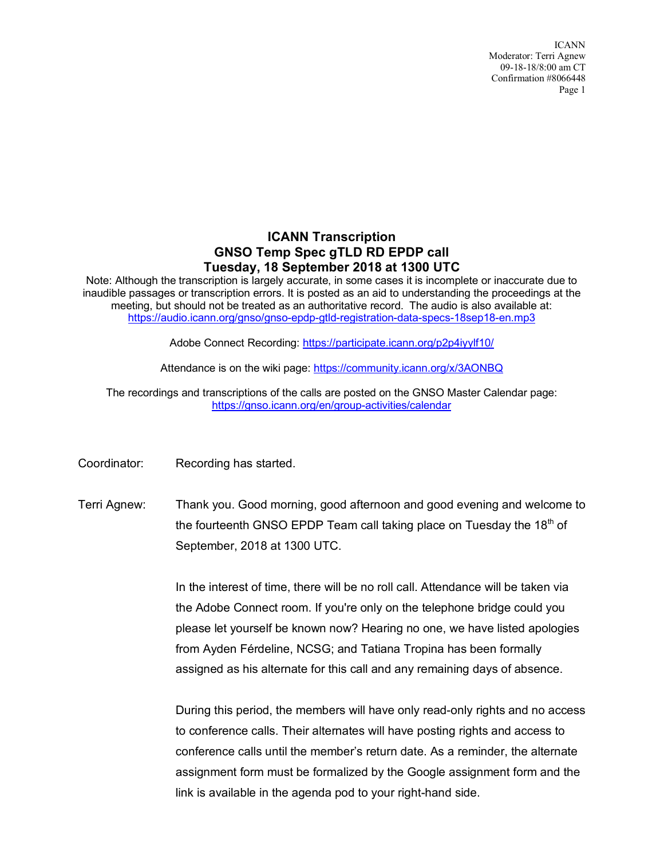ICANN Moderator: Terri Agnew 09-18-18/8:00 am CT Confirmation #8066448 Page 1

## **ICANN Transcription GNSO Temp Spec gTLD RD EPDP call Tuesday, 18 September 2018 at 1300 UTC**

Note: Although the transcription is largely accurate, in some cases it is incomplete or inaccurate due to inaudible passages or transcription errors. It is posted as an aid to understanding the proceedings at the meeting, but should not be treated as an authoritative record. The audio is also available at: https://audio.icann.org/gnso/gnso-epdp-gtld-registration-data-specs-18sep18-en.mp3

Adobe Connect Recording: https://participate.icann.org/p2p4iyylf10/

Attendance is on the wiki page: https://community.icann.org/x/3AONBQ

The recordings and transcriptions of the calls are posted on the GNSO Master Calendar page: https://gnso.icann.org/en/group-activities/calendar

Coordinator: Recording has started.

Terri Agnew: Thank you. Good morning, good afternoon and good evening and welcome to the fourteenth GNSO EPDP Team call taking place on Tuesday the 18<sup>th</sup> of September, 2018 at 1300 UTC.

> In the interest of time, there will be no roll call. Attendance will be taken via the Adobe Connect room. If you're only on the telephone bridge could you please let yourself be known now? Hearing no one, we have listed apologies from Ayden Férdeline, NCSG; and Tatiana Tropina has been formally assigned as his alternate for this call and any remaining days of absence.

During this period, the members will have only read-only rights and no access to conference calls. Their alternates will have posting rights and access to conference calls until the member's return date. As a reminder, the alternate assignment form must be formalized by the Google assignment form and the link is available in the agenda pod to your right-hand side.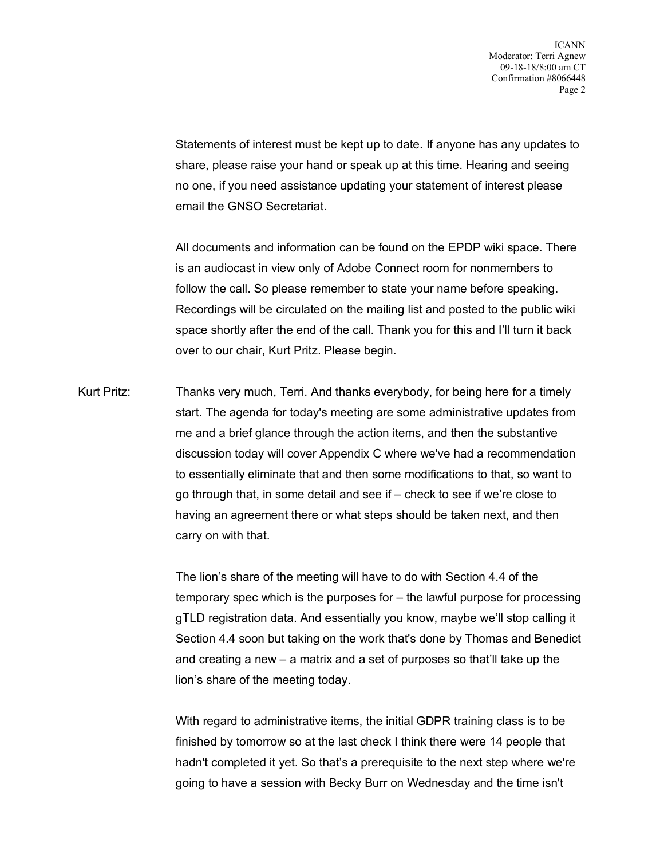Statements of interest must be kept up to date. If anyone has any updates to share, please raise your hand or speak up at this time. Hearing and seeing no one, if you need assistance updating your statement of interest please email the GNSO Secretariat.

All documents and information can be found on the EPDP wiki space. There is an audiocast in view only of Adobe Connect room for nonmembers to follow the call. So please remember to state your name before speaking. Recordings will be circulated on the mailing list and posted to the public wiki space shortly after the end of the call. Thank you for this and I'll turn it back over to our chair, Kurt Pritz. Please begin.

Kurt Pritz: Thanks very much, Terri. And thanks everybody, for being here for a timely start. The agenda for today's meeting are some administrative updates from me and a brief glance through the action items, and then the substantive discussion today will cover Appendix C where we've had a recommendation to essentially eliminate that and then some modifications to that, so want to go through that, in some detail and see if – check to see if we're close to having an agreement there or what steps should be taken next, and then carry on with that.

> The lion's share of the meeting will have to do with Section 4.4 of the temporary spec which is the purposes for – the lawful purpose for processing gTLD registration data. And essentially you know, maybe we'll stop calling it Section 4.4 soon but taking on the work that's done by Thomas and Benedict and creating a new – a matrix and a set of purposes so that'll take up the lion's share of the meeting today.

With regard to administrative items, the initial GDPR training class is to be finished by tomorrow so at the last check I think there were 14 people that hadn't completed it yet. So that's a prerequisite to the next step where we're going to have a session with Becky Burr on Wednesday and the time isn't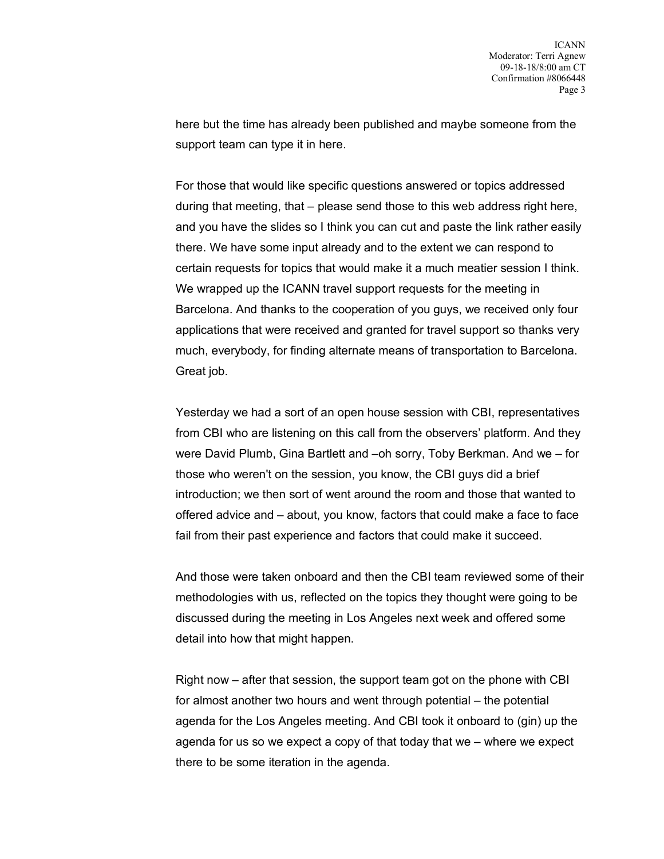here but the time has already been published and maybe someone from the support team can type it in here.

For those that would like specific questions answered or topics addressed during that meeting, that – please send those to this web address right here, and you have the slides so I think you can cut and paste the link rather easily there. We have some input already and to the extent we can respond to certain requests for topics that would make it a much meatier session I think. We wrapped up the ICANN travel support requests for the meeting in Barcelona. And thanks to the cooperation of you guys, we received only four applications that were received and granted for travel support so thanks very much, everybody, for finding alternate means of transportation to Barcelona. Great job.

Yesterday we had a sort of an open house session with CBI, representatives from CBI who are listening on this call from the observers' platform. And they were David Plumb, Gina Bartlett and –oh sorry, Toby Berkman. And we – for those who weren't on the session, you know, the CBI guys did a brief introduction; we then sort of went around the room and those that wanted to offered advice and – about, you know, factors that could make a face to face fail from their past experience and factors that could make it succeed.

And those were taken onboard and then the CBI team reviewed some of their methodologies with us, reflected on the topics they thought were going to be discussed during the meeting in Los Angeles next week and offered some detail into how that might happen.

Right now – after that session, the support team got on the phone with CBI for almost another two hours and went through potential – the potential agenda for the Los Angeles meeting. And CBI took it onboard to (gin) up the agenda for us so we expect a copy of that today that we – where we expect there to be some iteration in the agenda.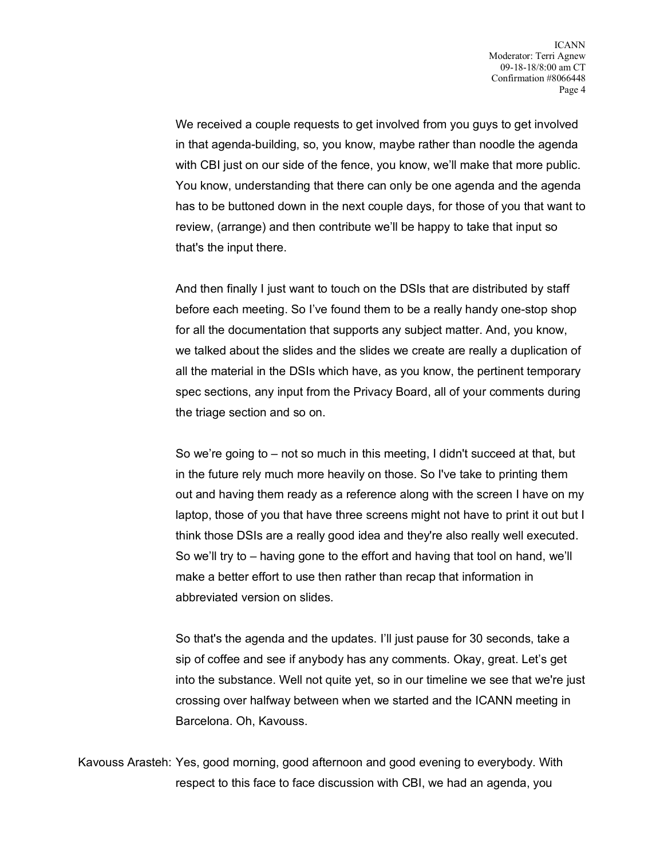We received a couple requests to get involved from you guys to get involved in that agenda-building, so, you know, maybe rather than noodle the agenda with CBI just on our side of the fence, you know, we'll make that more public. You know, understanding that there can only be one agenda and the agenda has to be buttoned down in the next couple days, for those of you that want to review, (arrange) and then contribute we'll be happy to take that input so that's the input there.

And then finally I just want to touch on the DSIs that are distributed by staff before each meeting. So I've found them to be a really handy one-stop shop for all the documentation that supports any subject matter. And, you know, we talked about the slides and the slides we create are really a duplication of all the material in the DSIs which have, as you know, the pertinent temporary spec sections, any input from the Privacy Board, all of your comments during the triage section and so on.

So we're going to – not so much in this meeting, I didn't succeed at that, but in the future rely much more heavily on those. So I've take to printing them out and having them ready as a reference along with the screen I have on my laptop, those of you that have three screens might not have to print it out but I think those DSIs are a really good idea and they're also really well executed. So we'll try to – having gone to the effort and having that tool on hand, we'll make a better effort to use then rather than recap that information in abbreviated version on slides.

So that's the agenda and the updates. I'll just pause for 30 seconds, take a sip of coffee and see if anybody has any comments. Okay, great. Let's get into the substance. Well not quite yet, so in our timeline we see that we're just crossing over halfway between when we started and the ICANN meeting in Barcelona. Oh, Kavouss.

Kavouss Arasteh: Yes, good morning, good afternoon and good evening to everybody. With respect to this face to face discussion with CBI, we had an agenda, you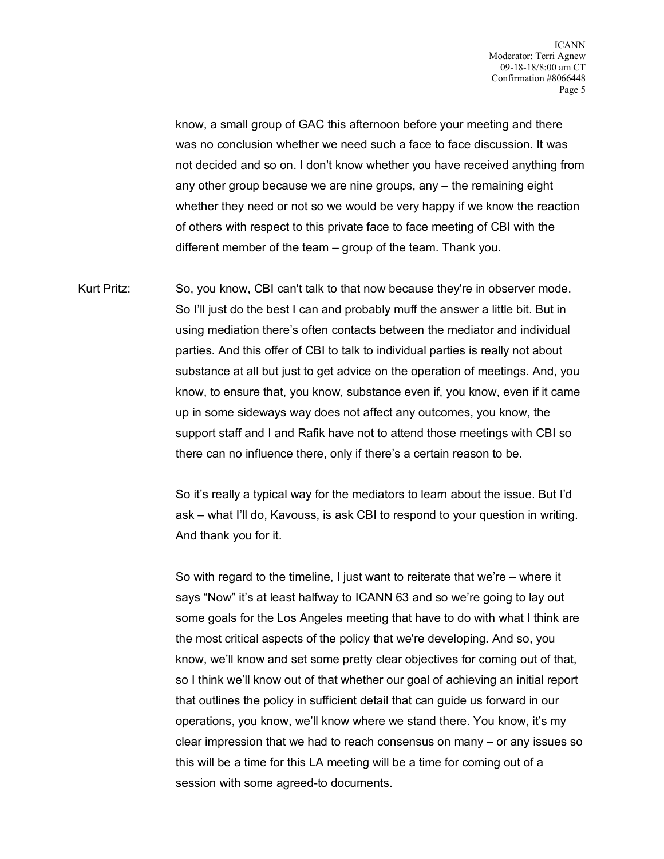know, a small group of GAC this afternoon before your meeting and there was no conclusion whether we need such a face to face discussion. It was not decided and so on. I don't know whether you have received anything from any other group because we are nine groups, any – the remaining eight whether they need or not so we would be very happy if we know the reaction of others with respect to this private face to face meeting of CBI with the different member of the team – group of the team. Thank you.

Kurt Pritz: So, you know, CBI can't talk to that now because they're in observer mode. So I'll just do the best I can and probably muff the answer a little bit. But in using mediation there's often contacts between the mediator and individual parties. And this offer of CBI to talk to individual parties is really not about substance at all but just to get advice on the operation of meetings. And, you know, to ensure that, you know, substance even if, you know, even if it came up in some sideways way does not affect any outcomes, you know, the support staff and I and Rafik have not to attend those meetings with CBI so there can no influence there, only if there's a certain reason to be.

> So it's really a typical way for the mediators to learn about the issue. But I'd ask – what I'll do, Kavouss, is ask CBI to respond to your question in writing. And thank you for it.

So with regard to the timeline, I just want to reiterate that we're – where it says "Now" it's at least halfway to ICANN 63 and so we're going to lay out some goals for the Los Angeles meeting that have to do with what I think are the most critical aspects of the policy that we're developing. And so, you know, we'll know and set some pretty clear objectives for coming out of that, so I think we'll know out of that whether our goal of achieving an initial report that outlines the policy in sufficient detail that can guide us forward in our operations, you know, we'll know where we stand there. You know, it's my clear impression that we had to reach consensus on many – or any issues so this will be a time for this LA meeting will be a time for coming out of a session with some agreed-to documents.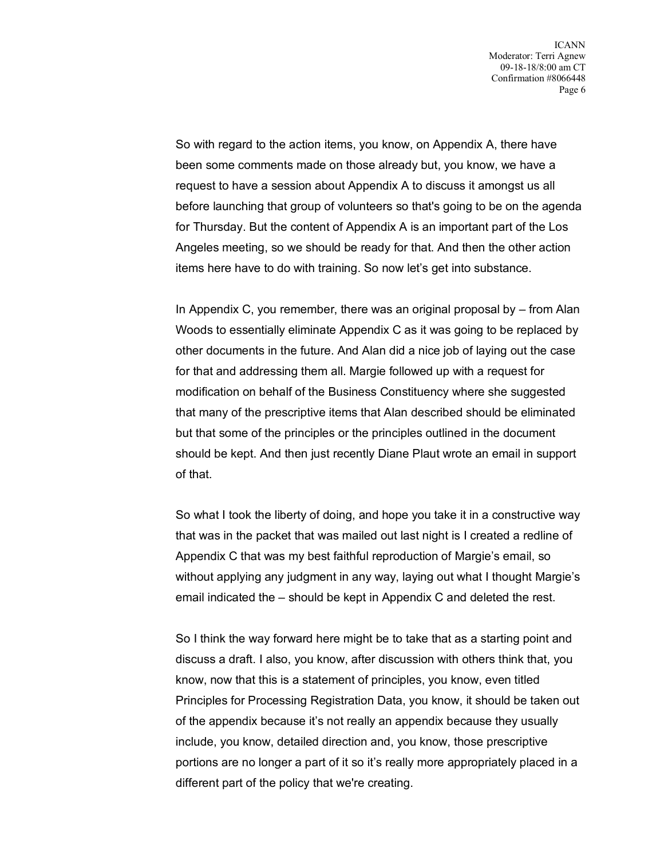So with regard to the action items, you know, on Appendix A, there have been some comments made on those already but, you know, we have a request to have a session about Appendix A to discuss it amongst us all before launching that group of volunteers so that's going to be on the agenda for Thursday. But the content of Appendix A is an important part of the Los Angeles meeting, so we should be ready for that. And then the other action items here have to do with training. So now let's get into substance.

In Appendix C, you remember, there was an original proposal by – from Alan Woods to essentially eliminate Appendix C as it was going to be replaced by other documents in the future. And Alan did a nice job of laying out the case for that and addressing them all. Margie followed up with a request for modification on behalf of the Business Constituency where she suggested that many of the prescriptive items that Alan described should be eliminated but that some of the principles or the principles outlined in the document should be kept. And then just recently Diane Plaut wrote an email in support of that.

So what I took the liberty of doing, and hope you take it in a constructive way that was in the packet that was mailed out last night is I created a redline of Appendix C that was my best faithful reproduction of Margie's email, so without applying any judgment in any way, laying out what I thought Margie's email indicated the – should be kept in Appendix C and deleted the rest.

So I think the way forward here might be to take that as a starting point and discuss a draft. I also, you know, after discussion with others think that, you know, now that this is a statement of principles, you know, even titled Principles for Processing Registration Data, you know, it should be taken out of the appendix because it's not really an appendix because they usually include, you know, detailed direction and, you know, those prescriptive portions are no longer a part of it so it's really more appropriately placed in a different part of the policy that we're creating.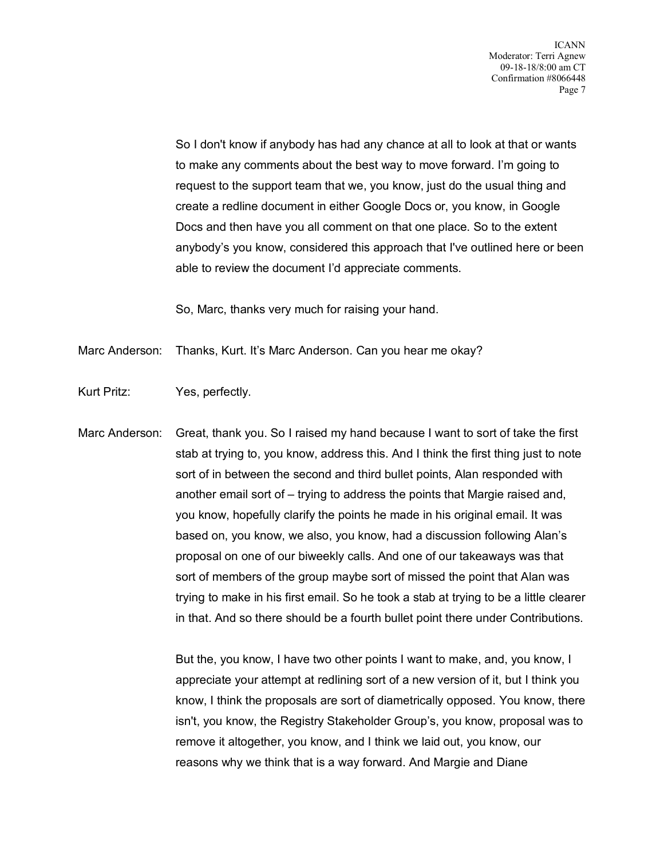So I don't know if anybody has had any chance at all to look at that or wants to make any comments about the best way to move forward. I'm going to request to the support team that we, you know, just do the usual thing and create a redline document in either Google Docs or, you know, in Google Docs and then have you all comment on that one place. So to the extent anybody's you know, considered this approach that I've outlined here or been able to review the document I'd appreciate comments.

So, Marc, thanks very much for raising your hand.

Marc Anderson: Thanks, Kurt. It's Marc Anderson. Can you hear me okay?

- Kurt Pritz: Yes, perfectly.
- Marc Anderson: Great, thank you. So I raised my hand because I want to sort of take the first stab at trying to, you know, address this. And I think the first thing just to note sort of in between the second and third bullet points, Alan responded with another email sort of – trying to address the points that Margie raised and, you know, hopefully clarify the points he made in his original email. It was based on, you know, we also, you know, had a discussion following Alan's proposal on one of our biweekly calls. And one of our takeaways was that sort of members of the group maybe sort of missed the point that Alan was trying to make in his first email. So he took a stab at trying to be a little clearer in that. And so there should be a fourth bullet point there under Contributions.

But the, you know, I have two other points I want to make, and, you know, I appreciate your attempt at redlining sort of a new version of it, but I think you know, I think the proposals are sort of diametrically opposed. You know, there isn't, you know, the Registry Stakeholder Group's, you know, proposal was to remove it altogether, you know, and I think we laid out, you know, our reasons why we think that is a way forward. And Margie and Diane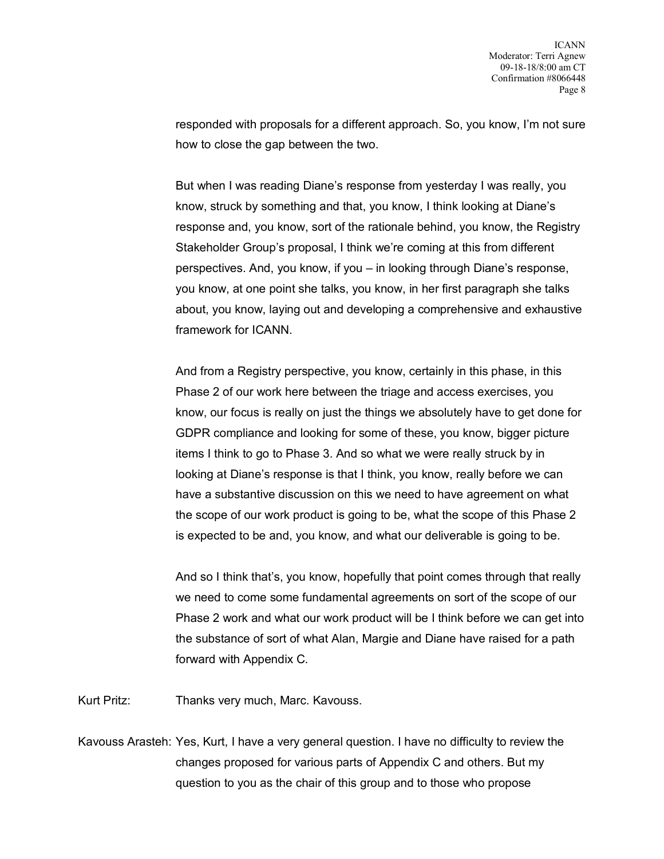responded with proposals for a different approach. So, you know, I'm not sure how to close the gap between the two.

But when I was reading Diane's response from yesterday I was really, you know, struck by something and that, you know, I think looking at Diane's response and, you know, sort of the rationale behind, you know, the Registry Stakeholder Group's proposal, I think we're coming at this from different perspectives. And, you know, if you – in looking through Diane's response, you know, at one point she talks, you know, in her first paragraph she talks about, you know, laying out and developing a comprehensive and exhaustive framework for ICANN.

And from a Registry perspective, you know, certainly in this phase, in this Phase 2 of our work here between the triage and access exercises, you know, our focus is really on just the things we absolutely have to get done for GDPR compliance and looking for some of these, you know, bigger picture items I think to go to Phase 3. And so what we were really struck by in looking at Diane's response is that I think, you know, really before we can have a substantive discussion on this we need to have agreement on what the scope of our work product is going to be, what the scope of this Phase 2 is expected to be and, you know, and what our deliverable is going to be.

And so I think that's, you know, hopefully that point comes through that really we need to come some fundamental agreements on sort of the scope of our Phase 2 work and what our work product will be I think before we can get into the substance of sort of what Alan, Margie and Diane have raised for a path forward with Appendix C.

Kurt Pritz: Thanks very much, Marc. Kavouss.

Kavouss Arasteh: Yes, Kurt, I have a very general question. I have no difficulty to review the changes proposed for various parts of Appendix C and others. But my question to you as the chair of this group and to those who propose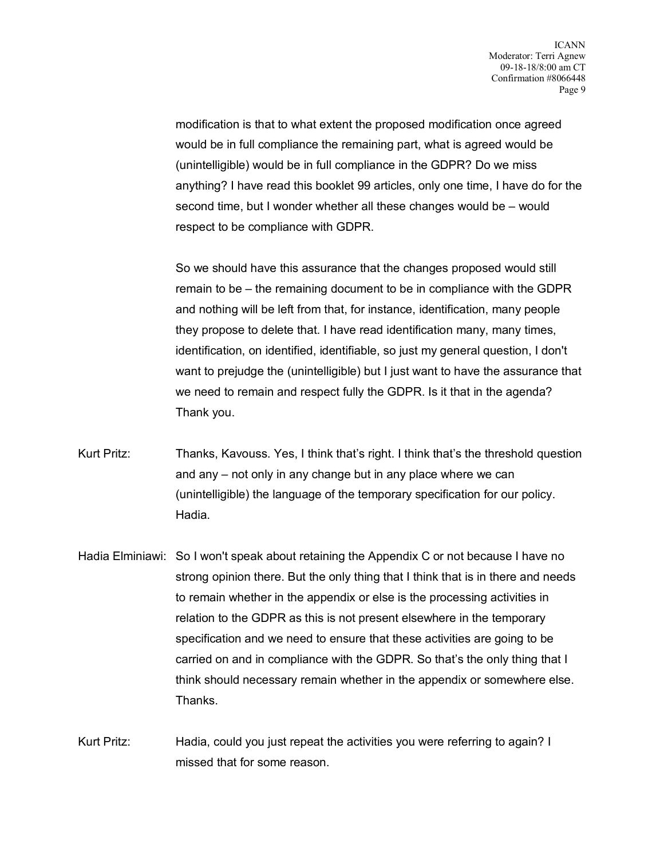modification is that to what extent the proposed modification once agreed would be in full compliance the remaining part, what is agreed would be (unintelligible) would be in full compliance in the GDPR? Do we miss anything? I have read this booklet 99 articles, only one time, I have do for the second time, but I wonder whether all these changes would be – would respect to be compliance with GDPR.

So we should have this assurance that the changes proposed would still remain to be – the remaining document to be in compliance with the GDPR and nothing will be left from that, for instance, identification, many people they propose to delete that. I have read identification many, many times, identification, on identified, identifiable, so just my general question, I don't want to prejudge the (unintelligible) but I just want to have the assurance that we need to remain and respect fully the GDPR. Is it that in the agenda? Thank you.

- Kurt Pritz: Thanks, Kavouss. Yes, I think that's right. I think that's the threshold question and any – not only in any change but in any place where we can (unintelligible) the language of the temporary specification for our policy. Hadia.
- Hadia Elminiawi: So I won't speak about retaining the Appendix C or not because I have no strong opinion there. But the only thing that I think that is in there and needs to remain whether in the appendix or else is the processing activities in relation to the GDPR as this is not present elsewhere in the temporary specification and we need to ensure that these activities are going to be carried on and in compliance with the GDPR. So that's the only thing that I think should necessary remain whether in the appendix or somewhere else. Thanks.

Kurt Pritz: Hadia, could you just repeat the activities you were referring to again? I missed that for some reason.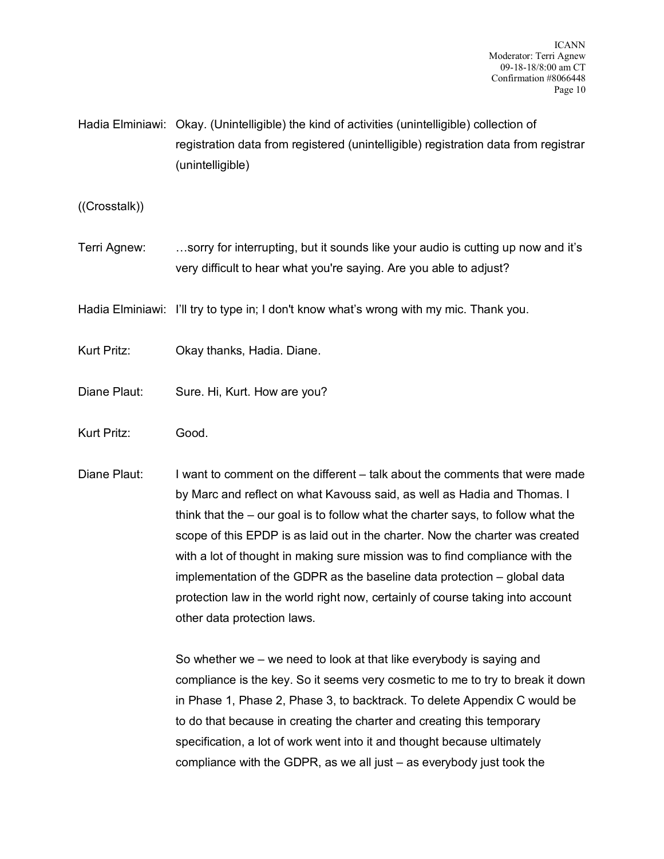Hadia Elminiawi: Okay. (Unintelligible) the kind of activities (unintelligible) collection of registration data from registered (unintelligible) registration data from registrar (unintelligible)

((Crosstalk))

Terri Agnew: …sorry for interrupting, but it sounds like your audio is cutting up now and it's very difficult to hear what you're saying. Are you able to adjust?

Hadia Elminiawi: I'll try to type in; I don't know what's wrong with my mic. Thank you.

- Kurt Pritz: Okay thanks, Hadia. Diane.
- Diane Plaut: Sure. Hi, Kurt. How are you?
- Kurt Pritz: Good.
- Diane Plaut: I want to comment on the different talk about the comments that were made by Marc and reflect on what Kavouss said, as well as Hadia and Thomas. I think that the – our goal is to follow what the charter says, to follow what the scope of this EPDP is as laid out in the charter. Now the charter was created with a lot of thought in making sure mission was to find compliance with the implementation of the GDPR as the baseline data protection – global data protection law in the world right now, certainly of course taking into account other data protection laws.

So whether we – we need to look at that like everybody is saying and compliance is the key. So it seems very cosmetic to me to try to break it down in Phase 1, Phase 2, Phase 3, to backtrack. To delete Appendix C would be to do that because in creating the charter and creating this temporary specification, a lot of work went into it and thought because ultimately compliance with the GDPR, as we all just – as everybody just took the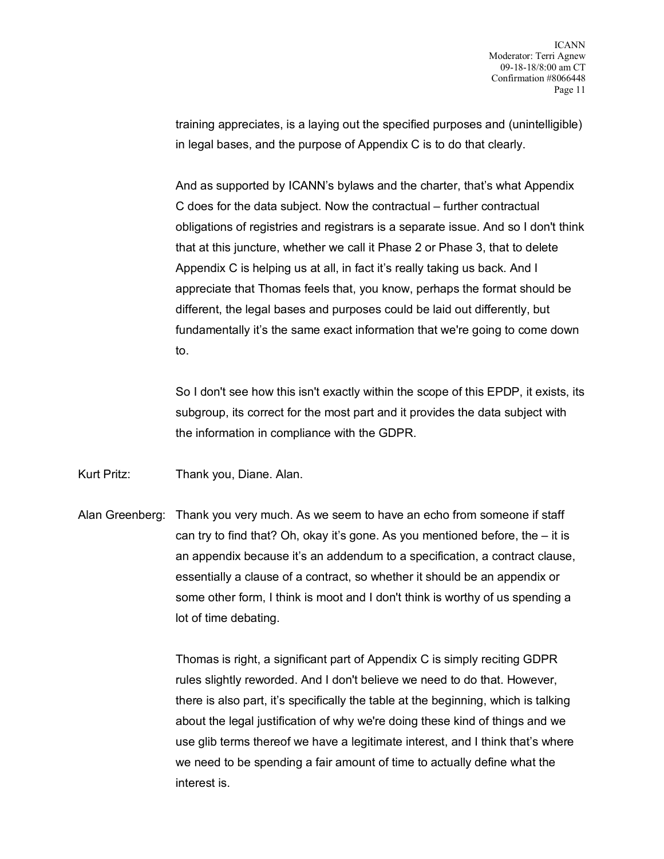training appreciates, is a laying out the specified purposes and (unintelligible) in legal bases, and the purpose of Appendix C is to do that clearly.

And as supported by ICANN's bylaws and the charter, that's what Appendix C does for the data subject. Now the contractual – further contractual obligations of registries and registrars is a separate issue. And so I don't think that at this juncture, whether we call it Phase 2 or Phase 3, that to delete Appendix C is helping us at all, in fact it's really taking us back. And I appreciate that Thomas feels that, you know, perhaps the format should be different, the legal bases and purposes could be laid out differently, but fundamentally it's the same exact information that we're going to come down to.

So I don't see how this isn't exactly within the scope of this EPDP, it exists, its subgroup, its correct for the most part and it provides the data subject with the information in compliance with the GDPR.

Kurt Pritz: Thank you, Diane. Alan.

Alan Greenberg: Thank you very much. As we seem to have an echo from someone if staff can try to find that? Oh, okay it's gone. As you mentioned before, the – it is an appendix because it's an addendum to a specification, a contract clause, essentially a clause of a contract, so whether it should be an appendix or some other form, I think is moot and I don't think is worthy of us spending a lot of time debating.

> Thomas is right, a significant part of Appendix C is simply reciting GDPR rules slightly reworded. And I don't believe we need to do that. However, there is also part, it's specifically the table at the beginning, which is talking about the legal justification of why we're doing these kind of things and we use glib terms thereof we have a legitimate interest, and I think that's where we need to be spending a fair amount of time to actually define what the interest is.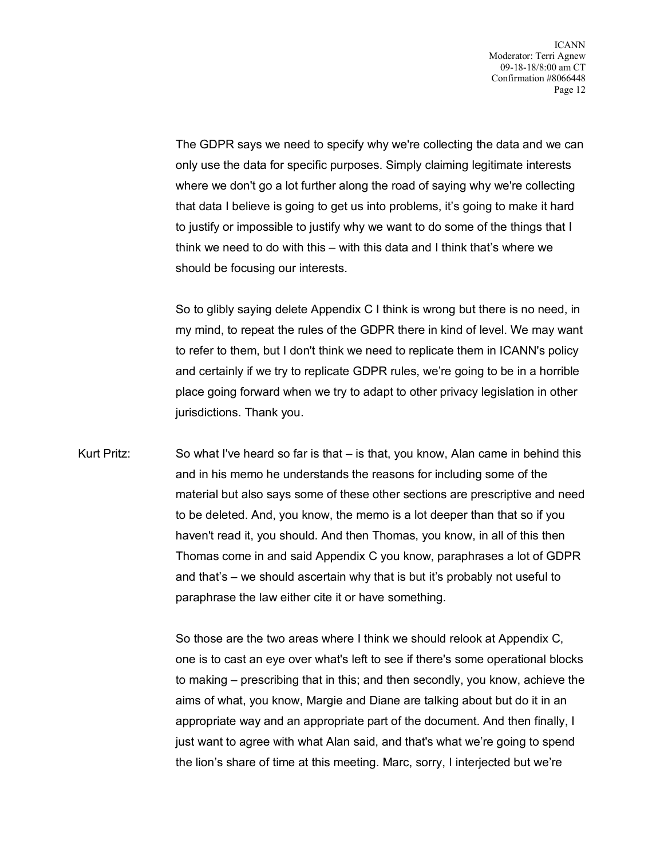The GDPR says we need to specify why we're collecting the data and we can only use the data for specific purposes. Simply claiming legitimate interests where we don't go a lot further along the road of saying why we're collecting that data I believe is going to get us into problems, it's going to make it hard to justify or impossible to justify why we want to do some of the things that I think we need to do with this – with this data and I think that's where we should be focusing our interests.

So to glibly saying delete Appendix C I think is wrong but there is no need, in my mind, to repeat the rules of the GDPR there in kind of level. We may want to refer to them, but I don't think we need to replicate them in ICANN's policy and certainly if we try to replicate GDPR rules, we're going to be in a horrible place going forward when we try to adapt to other privacy legislation in other jurisdictions. Thank you.

Kurt Pritz: So what I've heard so far is that – is that, you know, Alan came in behind this and in his memo he understands the reasons for including some of the material but also says some of these other sections are prescriptive and need to be deleted. And, you know, the memo is a lot deeper than that so if you haven't read it, you should. And then Thomas, you know, in all of this then Thomas come in and said Appendix C you know, paraphrases a lot of GDPR and that's – we should ascertain why that is but it's probably not useful to paraphrase the law either cite it or have something.

> So those are the two areas where I think we should relook at Appendix C, one is to cast an eye over what's left to see if there's some operational blocks to making – prescribing that in this; and then secondly, you know, achieve the aims of what, you know, Margie and Diane are talking about but do it in an appropriate way and an appropriate part of the document. And then finally, I just want to agree with what Alan said, and that's what we're going to spend the lion's share of time at this meeting. Marc, sorry, I interjected but we're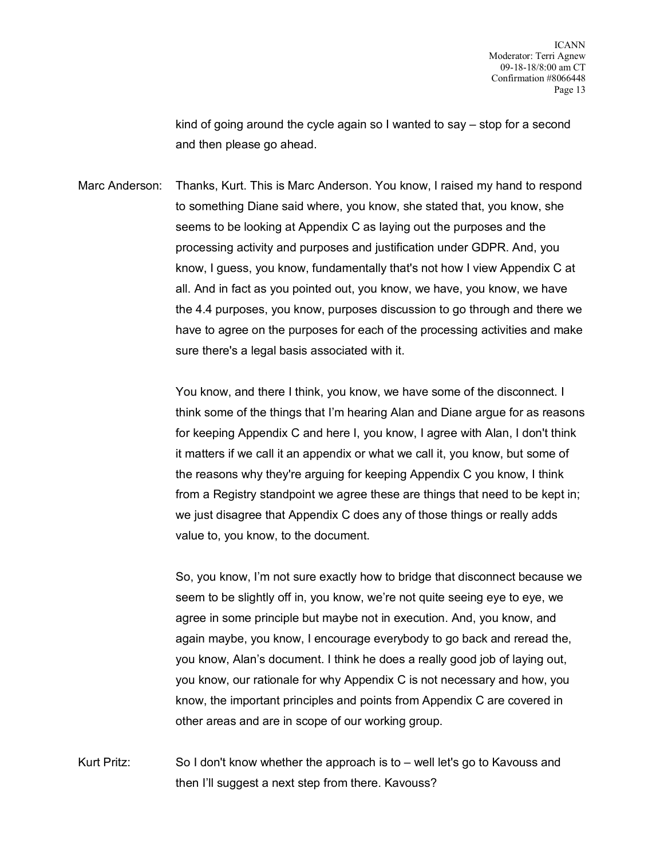kind of going around the cycle again so I wanted to say – stop for a second and then please go ahead.

Marc Anderson: Thanks, Kurt. This is Marc Anderson. You know, I raised my hand to respond to something Diane said where, you know, she stated that, you know, she seems to be looking at Appendix C as laying out the purposes and the processing activity and purposes and justification under GDPR. And, you know, I guess, you know, fundamentally that's not how I view Appendix C at all. And in fact as you pointed out, you know, we have, you know, we have the 4.4 purposes, you know, purposes discussion to go through and there we have to agree on the purposes for each of the processing activities and make sure there's a legal basis associated with it.

> You know, and there I think, you know, we have some of the disconnect. I think some of the things that I'm hearing Alan and Diane argue for as reasons for keeping Appendix C and here I, you know, I agree with Alan, I don't think it matters if we call it an appendix or what we call it, you know, but some of the reasons why they're arguing for keeping Appendix C you know, I think from a Registry standpoint we agree these are things that need to be kept in; we just disagree that Appendix C does any of those things or really adds value to, you know, to the document.

> So, you know, I'm not sure exactly how to bridge that disconnect because we seem to be slightly off in, you know, we're not quite seeing eye to eye, we agree in some principle but maybe not in execution. And, you know, and again maybe, you know, I encourage everybody to go back and reread the, you know, Alan's document. I think he does a really good job of laying out, you know, our rationale for why Appendix C is not necessary and how, you know, the important principles and points from Appendix C are covered in other areas and are in scope of our working group.

Kurt Pritz: So I don't know whether the approach is to – well let's go to Kavouss and then I'll suggest a next step from there. Kavouss?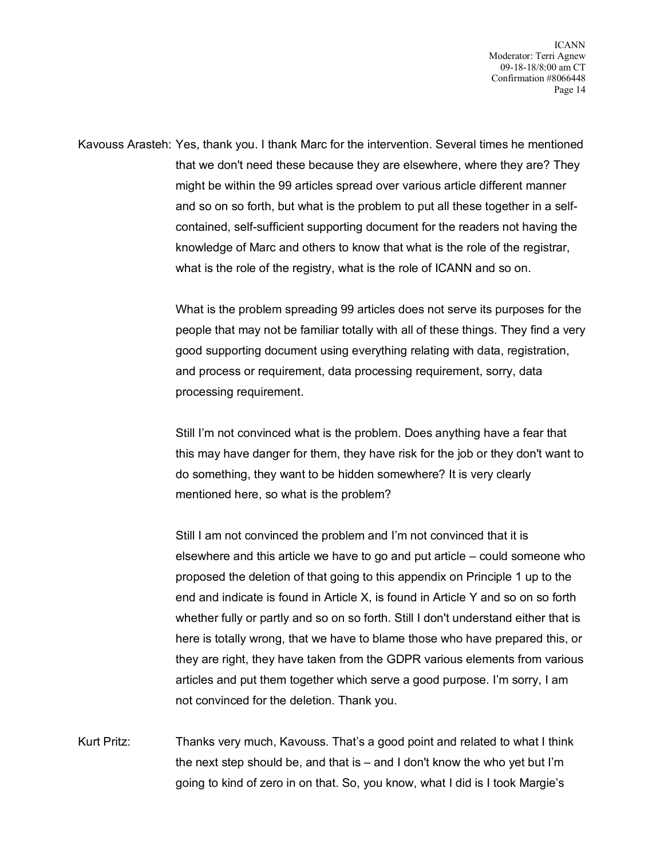ICANN Moderator: Terri Agnew 09-18-18/8:00 am CT Confirmation #8066448 Page 14

Kavouss Arasteh: Yes, thank you. I thank Marc for the intervention. Several times he mentioned that we don't need these because they are elsewhere, where they are? They might be within the 99 articles spread over various article different manner and so on so forth, but what is the problem to put all these together in a selfcontained, self-sufficient supporting document for the readers not having the knowledge of Marc and others to know that what is the role of the registrar, what is the role of the registry, what is the role of ICANN and so on.

> What is the problem spreading 99 articles does not serve its purposes for the people that may not be familiar totally with all of these things. They find a very good supporting document using everything relating with data, registration, and process or requirement, data processing requirement, sorry, data processing requirement.

> Still I'm not convinced what is the problem. Does anything have a fear that this may have danger for them, they have risk for the job or they don't want to do something, they want to be hidden somewhere? It is very clearly mentioned here, so what is the problem?

> Still I am not convinced the problem and I'm not convinced that it is elsewhere and this article we have to go and put article – could someone who proposed the deletion of that going to this appendix on Principle 1 up to the end and indicate is found in Article X, is found in Article Y and so on so forth whether fully or partly and so on so forth. Still I don't understand either that is here is totally wrong, that we have to blame those who have prepared this, or they are right, they have taken from the GDPR various elements from various articles and put them together which serve a good purpose. I'm sorry, I am not convinced for the deletion. Thank you.

Kurt Pritz: Thanks very much, Kavouss. That's a good point and related to what I think the next step should be, and that is – and I don't know the who yet but I'm going to kind of zero in on that. So, you know, what I did is I took Margie's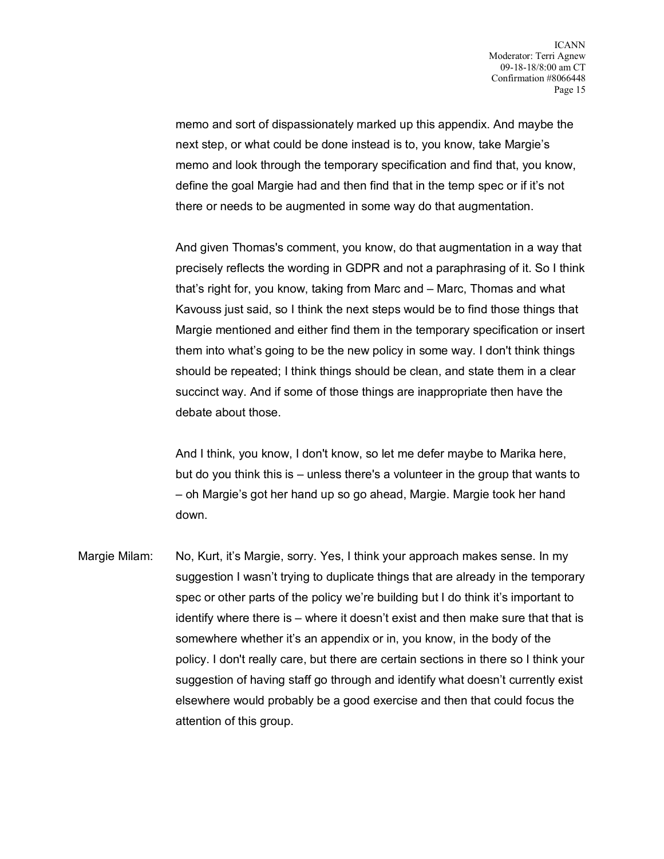memo and sort of dispassionately marked up this appendix. And maybe the next step, or what could be done instead is to, you know, take Margie's memo and look through the temporary specification and find that, you know, define the goal Margie had and then find that in the temp spec or if it's not there or needs to be augmented in some way do that augmentation.

And given Thomas's comment, you know, do that augmentation in a way that precisely reflects the wording in GDPR and not a paraphrasing of it. So I think that's right for, you know, taking from Marc and – Marc, Thomas and what Kavouss just said, so I think the next steps would be to find those things that Margie mentioned and either find them in the temporary specification or insert them into what's going to be the new policy in some way. I don't think things should be repeated; I think things should be clean, and state them in a clear succinct way. And if some of those things are inappropriate then have the debate about those.

And I think, you know, I don't know, so let me defer maybe to Marika here, but do you think this is – unless there's a volunteer in the group that wants to – oh Margie's got her hand up so go ahead, Margie. Margie took her hand down.

Margie Milam: No, Kurt, it's Margie, sorry. Yes, I think your approach makes sense. In my suggestion I wasn't trying to duplicate things that are already in the temporary spec or other parts of the policy we're building but I do think it's important to identify where there is – where it doesn't exist and then make sure that that is somewhere whether it's an appendix or in, you know, in the body of the policy. I don't really care, but there are certain sections in there so I think your suggestion of having staff go through and identify what doesn't currently exist elsewhere would probably be a good exercise and then that could focus the attention of this group.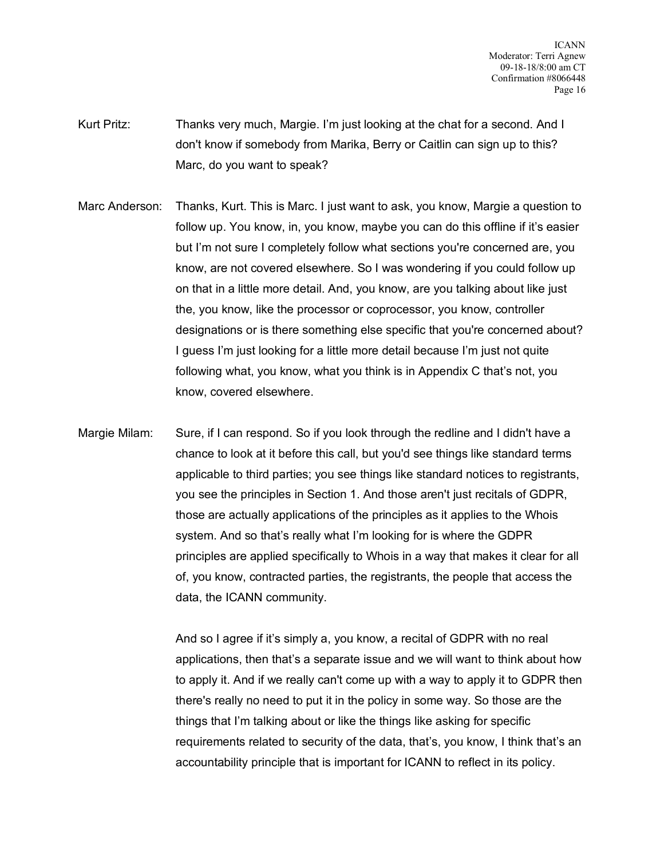ICANN Moderator: Terri Agnew 09-18-18/8:00 am CT Confirmation #8066448 Page 16

- Kurt Pritz: Thanks very much, Margie. I'm just looking at the chat for a second. And I don't know if somebody from Marika, Berry or Caitlin can sign up to this? Marc, do you want to speak?
- Marc Anderson: Thanks, Kurt. This is Marc. I just want to ask, you know, Margie a question to follow up. You know, in, you know, maybe you can do this offline if it's easier but I'm not sure I completely follow what sections you're concerned are, you know, are not covered elsewhere. So I was wondering if you could follow up on that in a little more detail. And, you know, are you talking about like just the, you know, like the processor or coprocessor, you know, controller designations or is there something else specific that you're concerned about? I guess I'm just looking for a little more detail because I'm just not quite following what, you know, what you think is in Appendix C that's not, you know, covered elsewhere.
- Margie Milam: Sure, if I can respond. So if you look through the redline and I didn't have a chance to look at it before this call, but you'd see things like standard terms applicable to third parties; you see things like standard notices to registrants, you see the principles in Section 1. And those aren't just recitals of GDPR, those are actually applications of the principles as it applies to the Whois system. And so that's really what I'm looking for is where the GDPR principles are applied specifically to Whois in a way that makes it clear for all of, you know, contracted parties, the registrants, the people that access the data, the ICANN community.

And so I agree if it's simply a, you know, a recital of GDPR with no real applications, then that's a separate issue and we will want to think about how to apply it. And if we really can't come up with a way to apply it to GDPR then there's really no need to put it in the policy in some way. So those are the things that I'm talking about or like the things like asking for specific requirements related to security of the data, that's, you know, I think that's an accountability principle that is important for ICANN to reflect in its policy.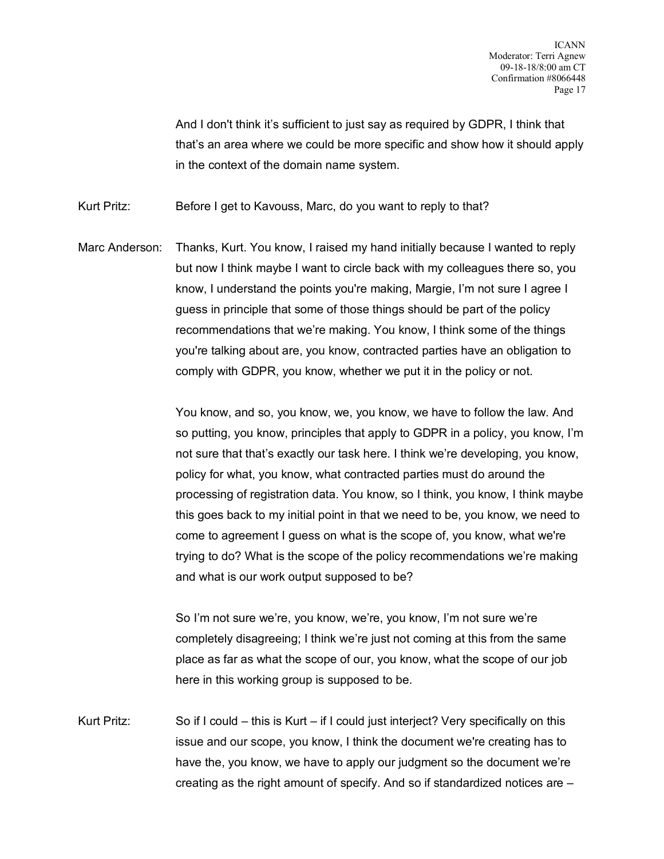And I don't think it's sufficient to just say as required by GDPR, I think that that's an area where we could be more specific and show how it should apply in the context of the domain name system.

Kurt Pritz: Before I get to Kavouss, Marc, do you want to reply to that?

Marc Anderson: Thanks, Kurt. You know, I raised my hand initially because I wanted to reply but now I think maybe I want to circle back with my colleagues there so, you know, I understand the points you're making, Margie, I'm not sure I agree I guess in principle that some of those things should be part of the policy recommendations that we're making. You know, I think some of the things you're talking about are, you know, contracted parties have an obligation to comply with GDPR, you know, whether we put it in the policy or not.

> You know, and so, you know, we, you know, we have to follow the law. And so putting, you know, principles that apply to GDPR in a policy, you know, I'm not sure that that's exactly our task here. I think we're developing, you know, policy for what, you know, what contracted parties must do around the processing of registration data. You know, so I think, you know, I think maybe this goes back to my initial point in that we need to be, you know, we need to come to agreement I guess on what is the scope of, you know, what we're trying to do? What is the scope of the policy recommendations we're making and what is our work output supposed to be?

So I'm not sure we're, you know, we're, you know, I'm not sure we're completely disagreeing; I think we're just not coming at this from the same place as far as what the scope of our, you know, what the scope of our job here in this working group is supposed to be.

Kurt Pritz: So if I could – this is Kurt – if I could just interject? Very specifically on this issue and our scope, you know, I think the document we're creating has to have the, you know, we have to apply our judgment so the document we're creating as the right amount of specify. And so if standardized notices are –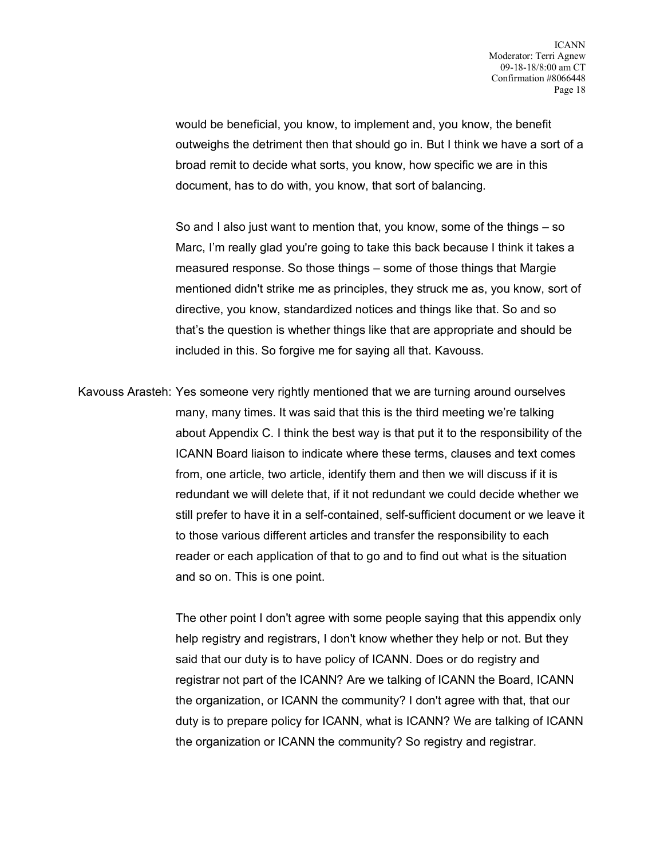would be beneficial, you know, to implement and, you know, the benefit outweighs the detriment then that should go in. But I think we have a sort of a broad remit to decide what sorts, you know, how specific we are in this document, has to do with, you know, that sort of balancing.

So and I also just want to mention that, you know, some of the things – so Marc, I'm really glad you're going to take this back because I think it takes a measured response. So those things – some of those things that Margie mentioned didn't strike me as principles, they struck me as, you know, sort of directive, you know, standardized notices and things like that. So and so that's the question is whether things like that are appropriate and should be included in this. So forgive me for saying all that. Kavouss.

Kavouss Arasteh: Yes someone very rightly mentioned that we are turning around ourselves many, many times. It was said that this is the third meeting we're talking about Appendix C. I think the best way is that put it to the responsibility of the ICANN Board liaison to indicate where these terms, clauses and text comes from, one article, two article, identify them and then we will discuss if it is redundant we will delete that, if it not redundant we could decide whether we still prefer to have it in a self-contained, self-sufficient document or we leave it to those various different articles and transfer the responsibility to each reader or each application of that to go and to find out what is the situation and so on. This is one point.

> The other point I don't agree with some people saying that this appendix only help registry and registrars, I don't know whether they help or not. But they said that our duty is to have policy of ICANN. Does or do registry and registrar not part of the ICANN? Are we talking of ICANN the Board, ICANN the organization, or ICANN the community? I don't agree with that, that our duty is to prepare policy for ICANN, what is ICANN? We are talking of ICANN the organization or ICANN the community? So registry and registrar.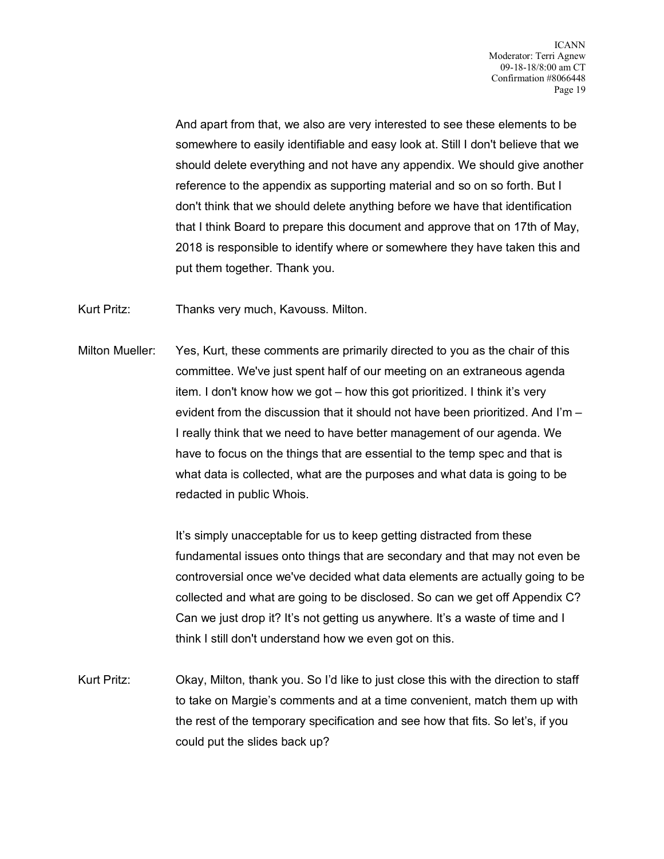And apart from that, we also are very interested to see these elements to be somewhere to easily identifiable and easy look at. Still I don't believe that we should delete everything and not have any appendix. We should give another reference to the appendix as supporting material and so on so forth. But I don't think that we should delete anything before we have that identification that I think Board to prepare this document and approve that on 17th of May, 2018 is responsible to identify where or somewhere they have taken this and put them together. Thank you.

Kurt Pritz: Thanks very much, Kavouss. Milton.

Milton Mueller: Yes, Kurt, these comments are primarily directed to you as the chair of this committee. We've just spent half of our meeting on an extraneous agenda item. I don't know how we got – how this got prioritized. I think it's very evident from the discussion that it should not have been prioritized. And I'm – I really think that we need to have better management of our agenda. We have to focus on the things that are essential to the temp spec and that is what data is collected, what are the purposes and what data is going to be redacted in public Whois.

> It's simply unacceptable for us to keep getting distracted from these fundamental issues onto things that are secondary and that may not even be controversial once we've decided what data elements are actually going to be collected and what are going to be disclosed. So can we get off Appendix C? Can we just drop it? It's not getting us anywhere. It's a waste of time and I think I still don't understand how we even got on this.

Kurt Pritz: Okay, Milton, thank you. So I'd like to just close this with the direction to staff to take on Margie's comments and at a time convenient, match them up with the rest of the temporary specification and see how that fits. So let's, if you could put the slides back up?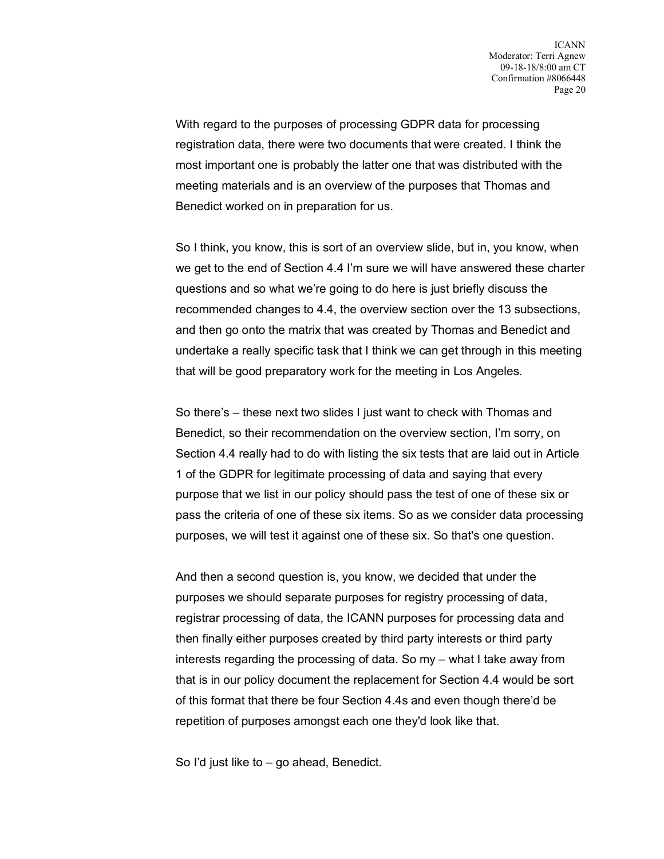With regard to the purposes of processing GDPR data for processing registration data, there were two documents that were created. I think the most important one is probably the latter one that was distributed with the meeting materials and is an overview of the purposes that Thomas and Benedict worked on in preparation for us.

So I think, you know, this is sort of an overview slide, but in, you know, when we get to the end of Section 4.4 I'm sure we will have answered these charter questions and so what we're going to do here is just briefly discuss the recommended changes to 4.4, the overview section over the 13 subsections, and then go onto the matrix that was created by Thomas and Benedict and undertake a really specific task that I think we can get through in this meeting that will be good preparatory work for the meeting in Los Angeles.

So there's – these next two slides I just want to check with Thomas and Benedict, so their recommendation on the overview section, I'm sorry, on Section 4.4 really had to do with listing the six tests that are laid out in Article 1 of the GDPR for legitimate processing of data and saying that every purpose that we list in our policy should pass the test of one of these six or pass the criteria of one of these six items. So as we consider data processing purposes, we will test it against one of these six. So that's one question.

And then a second question is, you know, we decided that under the purposes we should separate purposes for registry processing of data, registrar processing of data, the ICANN purposes for processing data and then finally either purposes created by third party interests or third party interests regarding the processing of data. So my – what I take away from that is in our policy document the replacement for Section 4.4 would be sort of this format that there be four Section 4.4s and even though there'd be repetition of purposes amongst each one they'd look like that.

So I'd just like to – go ahead, Benedict.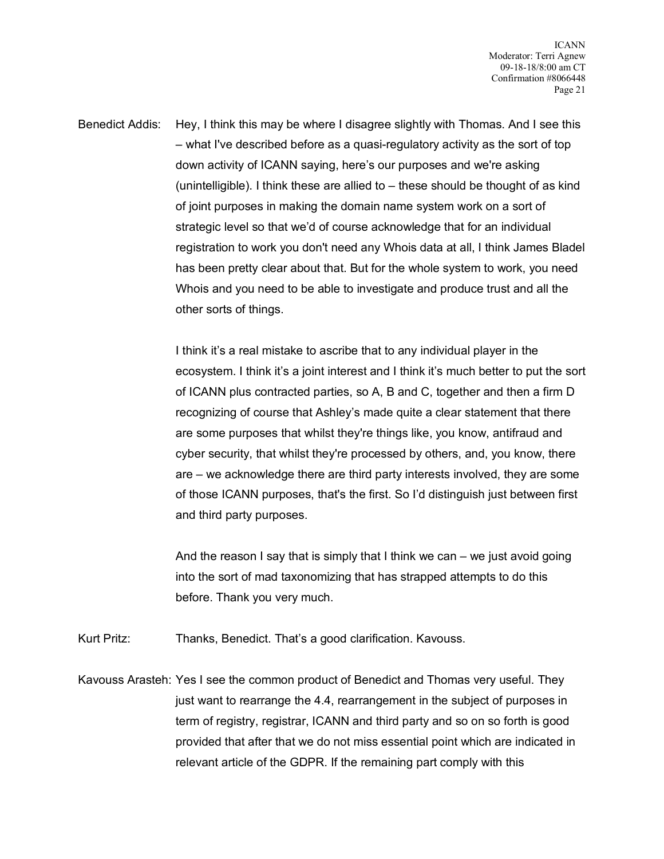Benedict Addis: Hey, I think this may be where I disagree slightly with Thomas. And I see this – what I've described before as a quasi-regulatory activity as the sort of top down activity of ICANN saying, here's our purposes and we're asking (unintelligible). I think these are allied to – these should be thought of as kind of joint purposes in making the domain name system work on a sort of strategic level so that we'd of course acknowledge that for an individual registration to work you don't need any Whois data at all, I think James Bladel has been pretty clear about that. But for the whole system to work, you need Whois and you need to be able to investigate and produce trust and all the other sorts of things.

> I think it's a real mistake to ascribe that to any individual player in the ecosystem. I think it's a joint interest and I think it's much better to put the sort of ICANN plus contracted parties, so A, B and C, together and then a firm D recognizing of course that Ashley's made quite a clear statement that there are some purposes that whilst they're things like, you know, antifraud and cyber security, that whilst they're processed by others, and, you know, there are – we acknowledge there are third party interests involved, they are some of those ICANN purposes, that's the first. So I'd distinguish just between first and third party purposes.

And the reason I say that is simply that I think we can – we just avoid going into the sort of mad taxonomizing that has strapped attempts to do this before. Thank you very much.

Kurt Pritz: Thanks, Benedict. That's a good clarification. Kavouss.

Kavouss Arasteh: Yes I see the common product of Benedict and Thomas very useful. They just want to rearrange the 4.4, rearrangement in the subject of purposes in term of registry, registrar, ICANN and third party and so on so forth is good provided that after that we do not miss essential point which are indicated in relevant article of the GDPR. If the remaining part comply with this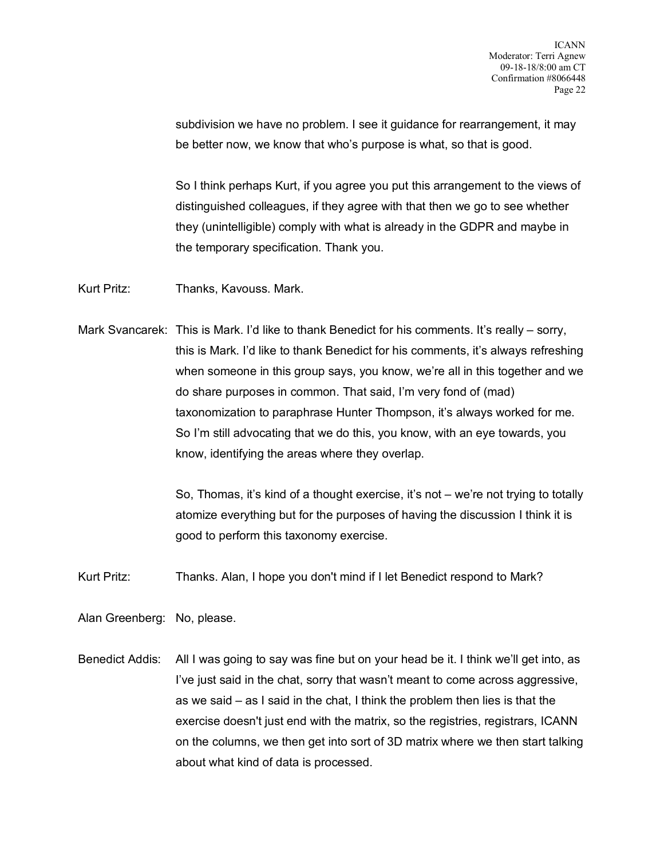subdivision we have no problem. I see it guidance for rearrangement, it may be better now, we know that who's purpose is what, so that is good.

So I think perhaps Kurt, if you agree you put this arrangement to the views of distinguished colleagues, if they agree with that then we go to see whether they (unintelligible) comply with what is already in the GDPR and maybe in the temporary specification. Thank you.

Kurt Pritz: Thanks, Kavouss. Mark.

Mark Svancarek: This is Mark. I'd like to thank Benedict for his comments. It's really – sorry, this is Mark. I'd like to thank Benedict for his comments, it's always refreshing when someone in this group says, you know, we're all in this together and we do share purposes in common. That said, I'm very fond of (mad) taxonomization to paraphrase Hunter Thompson, it's always worked for me. So I'm still advocating that we do this, you know, with an eye towards, you know, identifying the areas where they overlap.

> So, Thomas, it's kind of a thought exercise, it's not – we're not trying to totally atomize everything but for the purposes of having the discussion I think it is good to perform this taxonomy exercise.

Kurt Pritz: Thanks. Alan, I hope you don't mind if I let Benedict respond to Mark?

Alan Greenberg: No, please.

Benedict Addis: All I was going to say was fine but on your head be it. I think we'll get into, as I've just said in the chat, sorry that wasn't meant to come across aggressive, as we said – as I said in the chat, I think the problem then lies is that the exercise doesn't just end with the matrix, so the registries, registrars, ICANN on the columns, we then get into sort of 3D matrix where we then start talking about what kind of data is processed.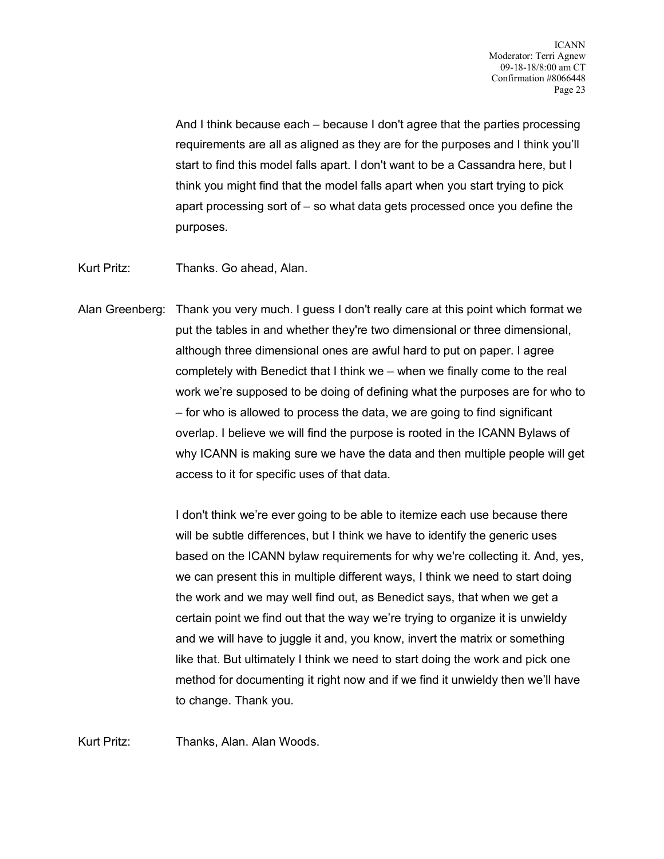And I think because each – because I don't agree that the parties processing requirements are all as aligned as they are for the purposes and I think you'll start to find this model falls apart. I don't want to be a Cassandra here, but I think you might find that the model falls apart when you start trying to pick apart processing sort of – so what data gets processed once you define the purposes.

Kurt Pritz: Thanks. Go ahead, Alan.

Alan Greenberg: Thank you very much. I guess I don't really care at this point which format we put the tables in and whether they're two dimensional or three dimensional, although three dimensional ones are awful hard to put on paper. I agree completely with Benedict that I think we – when we finally come to the real work we're supposed to be doing of defining what the purposes are for who to – for who is allowed to process the data, we are going to find significant overlap. I believe we will find the purpose is rooted in the ICANN Bylaws of why ICANN is making sure we have the data and then multiple people will get access to it for specific uses of that data.

> I don't think we're ever going to be able to itemize each use because there will be subtle differences, but I think we have to identify the generic uses based on the ICANN bylaw requirements for why we're collecting it. And, yes, we can present this in multiple different ways, I think we need to start doing the work and we may well find out, as Benedict says, that when we get a certain point we find out that the way we're trying to organize it is unwieldy and we will have to juggle it and, you know, invert the matrix or something like that. But ultimately I think we need to start doing the work and pick one method for documenting it right now and if we find it unwieldy then we'll have to change. Thank you.

Kurt Pritz: Thanks, Alan. Alan Woods.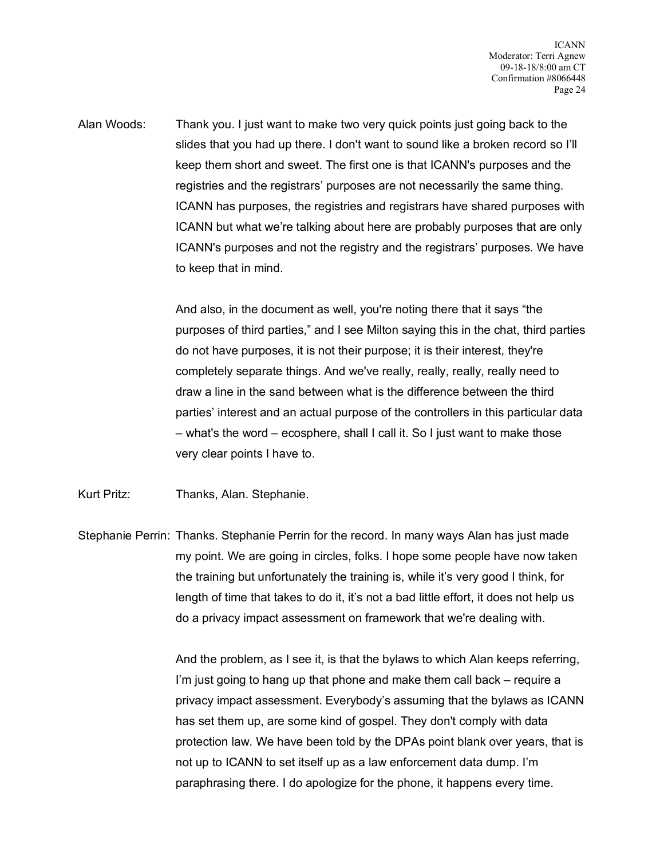Alan Woods: Thank you. I just want to make two very quick points just going back to the slides that you had up there. I don't want to sound like a broken record so I'll keep them short and sweet. The first one is that ICANN's purposes and the registries and the registrars' purposes are not necessarily the same thing. ICANN has purposes, the registries and registrars have shared purposes with ICANN but what we're talking about here are probably purposes that are only ICANN's purposes and not the registry and the registrars' purposes. We have to keep that in mind.

> And also, in the document as well, you're noting there that it says "the purposes of third parties," and I see Milton saying this in the chat, third parties do not have purposes, it is not their purpose; it is their interest, they're completely separate things. And we've really, really, really, really need to draw a line in the sand between what is the difference between the third parties' interest and an actual purpose of the controllers in this particular data – what's the word – ecosphere, shall I call it. So I just want to make those very clear points I have to.

Kurt Pritz: Thanks, Alan. Stephanie.

Stephanie Perrin: Thanks. Stephanie Perrin for the record. In many ways Alan has just made my point. We are going in circles, folks. I hope some people have now taken the training but unfortunately the training is, while it's very good I think, for length of time that takes to do it, it's not a bad little effort, it does not help us do a privacy impact assessment on framework that we're dealing with.

> And the problem, as I see it, is that the bylaws to which Alan keeps referring, I'm just going to hang up that phone and make them call back – require a privacy impact assessment. Everybody's assuming that the bylaws as ICANN has set them up, are some kind of gospel. They don't comply with data protection law. We have been told by the DPAs point blank over years, that is not up to ICANN to set itself up as a law enforcement data dump. I'm paraphrasing there. I do apologize for the phone, it happens every time.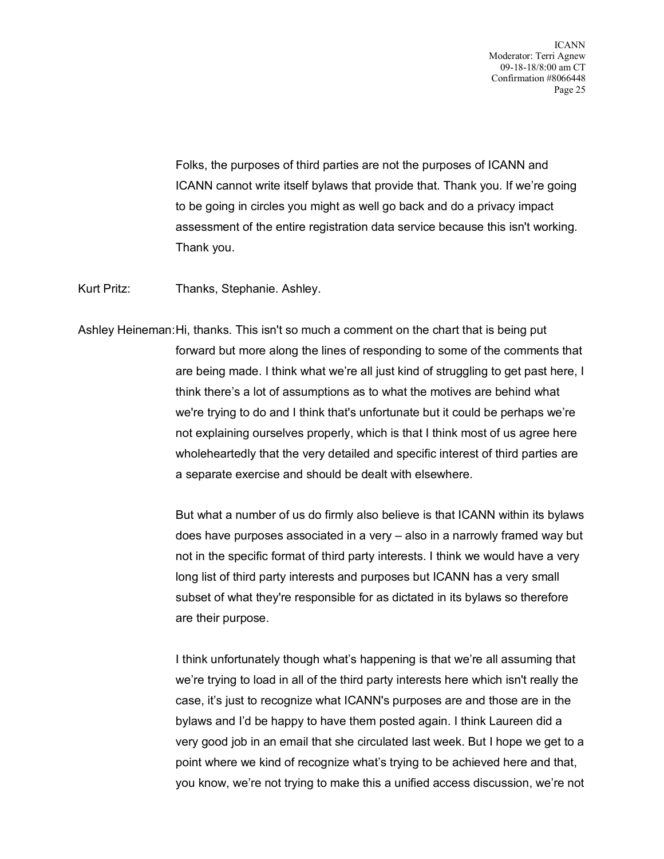Folks, the purposes of third parties are not the purposes of ICANN and ICANN cannot write itself bylaws that provide that. Thank you. If we're going to be going in circles you might as well go back and do a privacy impact assessment of the entire registration data service because this isn't working. Thank you.

Kurt Pritz: Thanks, Stephanie. Ashley.

Ashley Heineman:Hi, thanks. This isn't so much a comment on the chart that is being put forward but more along the lines of responding to some of the comments that are being made. I think what we're all just kind of struggling to get past here, I think there's a lot of assumptions as to what the motives are behind what we're trying to do and I think that's unfortunate but it could be perhaps we're not explaining ourselves properly, which is that I think most of us agree here wholeheartedly that the very detailed and specific interest of third parties are a separate exercise and should be dealt with elsewhere.

> But what a number of us do firmly also believe is that ICANN within its bylaws does have purposes associated in a very – also in a narrowly framed way but not in the specific format of third party interests. I think we would have a very long list of third party interests and purposes but ICANN has a very small subset of what they're responsible for as dictated in its bylaws so therefore are their purpose.

> I think unfortunately though what's happening is that we're all assuming that we're trying to load in all of the third party interests here which isn't really the case, it's just to recognize what ICANN's purposes are and those are in the bylaws and I'd be happy to have them posted again. I think Laureen did a very good job in an email that she circulated last week. But I hope we get to a point where we kind of recognize what's trying to be achieved here and that, you know, we're not trying to make this a unified access discussion, we're not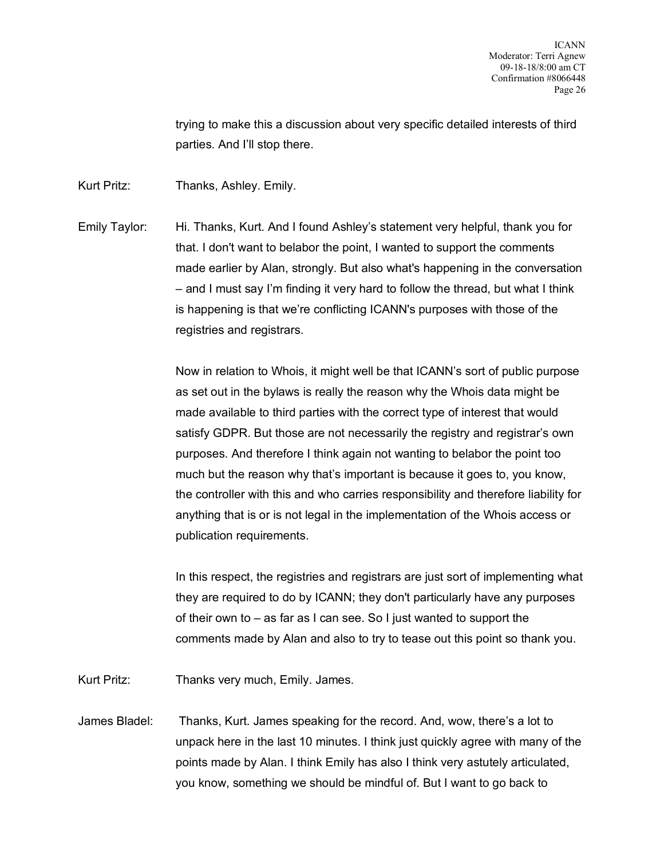trying to make this a discussion about very specific detailed interests of third parties. And I'll stop there.

Kurt Pritz: Thanks, Ashley. Emily.

Emily Taylor: Hi. Thanks, Kurt. And I found Ashley's statement very helpful, thank you for that. I don't want to belabor the point, I wanted to support the comments made earlier by Alan, strongly. But also what's happening in the conversation – and I must say I'm finding it very hard to follow the thread, but what I think is happening is that we're conflicting ICANN's purposes with those of the registries and registrars.

> Now in relation to Whois, it might well be that ICANN's sort of public purpose as set out in the bylaws is really the reason why the Whois data might be made available to third parties with the correct type of interest that would satisfy GDPR. But those are not necessarily the registry and registrar's own purposes. And therefore I think again not wanting to belabor the point too much but the reason why that's important is because it goes to, you know, the controller with this and who carries responsibility and therefore liability for anything that is or is not legal in the implementation of the Whois access or publication requirements.

> In this respect, the registries and registrars are just sort of implementing what they are required to do by ICANN; they don't particularly have any purposes of their own to – as far as I can see. So I just wanted to support the comments made by Alan and also to try to tease out this point so thank you.

Kurt Pritz: Thanks very much, Emily. James.

James Bladel: Thanks, Kurt. James speaking for the record. And, wow, there's a lot to unpack here in the last 10 minutes. I think just quickly agree with many of the points made by Alan. I think Emily has also I think very astutely articulated, you know, something we should be mindful of. But I want to go back to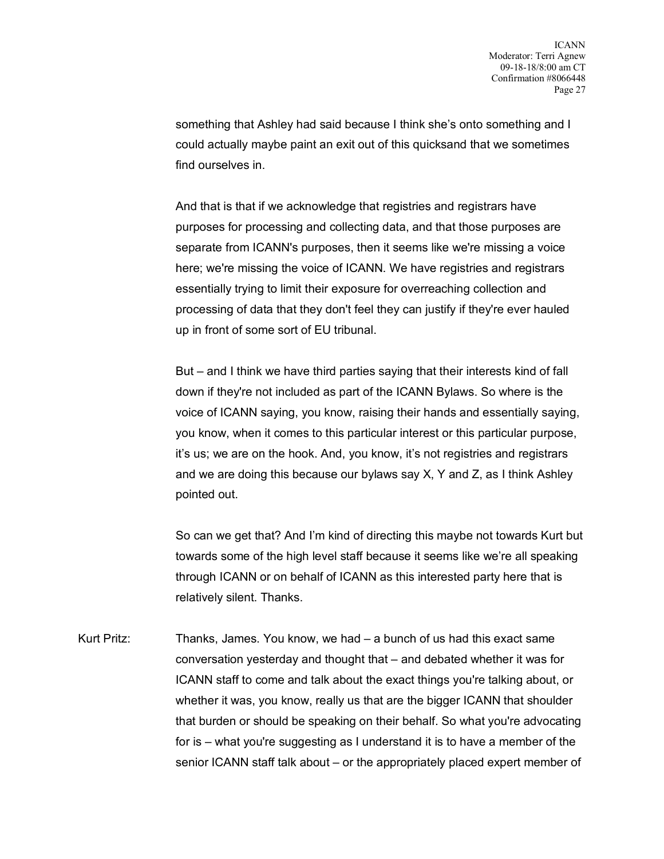something that Ashley had said because I think she's onto something and I could actually maybe paint an exit out of this quicksand that we sometimes find ourselves in.

And that is that if we acknowledge that registries and registrars have purposes for processing and collecting data, and that those purposes are separate from ICANN's purposes, then it seems like we're missing a voice here; we're missing the voice of ICANN. We have registries and registrars essentially trying to limit their exposure for overreaching collection and processing of data that they don't feel they can justify if they're ever hauled up in front of some sort of EU tribunal.

But – and I think we have third parties saying that their interests kind of fall down if they're not included as part of the ICANN Bylaws. So where is the voice of ICANN saying, you know, raising their hands and essentially saying, you know, when it comes to this particular interest or this particular purpose, it's us; we are on the hook. And, you know, it's not registries and registrars and we are doing this because our bylaws say X, Y and Z, as I think Ashley pointed out.

So can we get that? And I'm kind of directing this maybe not towards Kurt but towards some of the high level staff because it seems like we're all speaking through ICANN or on behalf of ICANN as this interested party here that is relatively silent. Thanks.

Kurt Pritz: Thanks, James. You know, we had – a bunch of us had this exact same conversation yesterday and thought that – and debated whether it was for ICANN staff to come and talk about the exact things you're talking about, or whether it was, you know, really us that are the bigger ICANN that shoulder that burden or should be speaking on their behalf. So what you're advocating for is – what you're suggesting as I understand it is to have a member of the senior ICANN staff talk about – or the appropriately placed expert member of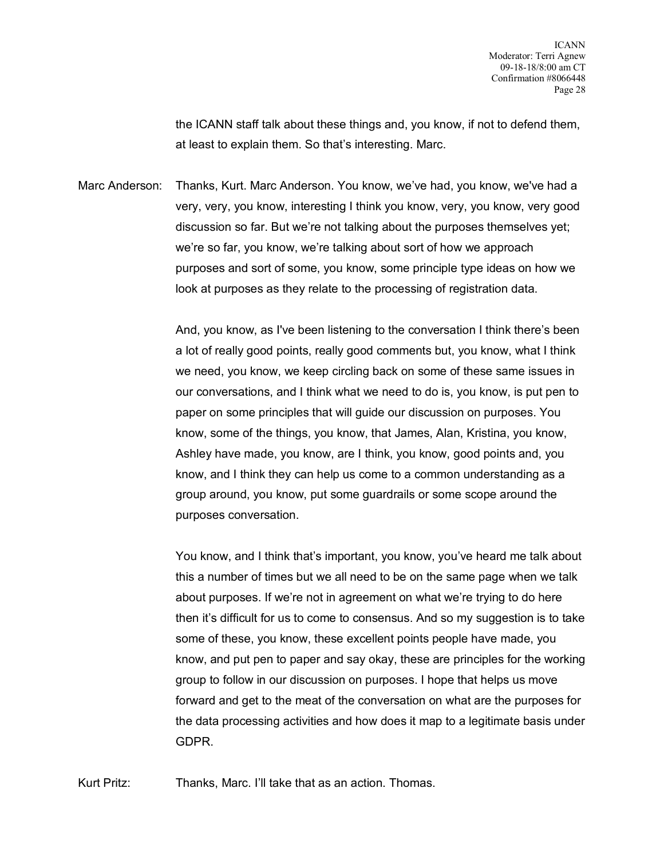the ICANN staff talk about these things and, you know, if not to defend them, at least to explain them. So that's interesting. Marc.

Marc Anderson: Thanks, Kurt. Marc Anderson. You know, we've had, you know, we've had a very, very, you know, interesting I think you know, very, you know, very good discussion so far. But we're not talking about the purposes themselves yet; we're so far, you know, we're talking about sort of how we approach purposes and sort of some, you know, some principle type ideas on how we look at purposes as they relate to the processing of registration data.

> And, you know, as I've been listening to the conversation I think there's been a lot of really good points, really good comments but, you know, what I think we need, you know, we keep circling back on some of these same issues in our conversations, and I think what we need to do is, you know, is put pen to paper on some principles that will guide our discussion on purposes. You know, some of the things, you know, that James, Alan, Kristina, you know, Ashley have made, you know, are I think, you know, good points and, you know, and I think they can help us come to a common understanding as a group around, you know, put some guardrails or some scope around the purposes conversation.

You know, and I think that's important, you know, you've heard me talk about this a number of times but we all need to be on the same page when we talk about purposes. If we're not in agreement on what we're trying to do here then it's difficult for us to come to consensus. And so my suggestion is to take some of these, you know, these excellent points people have made, you know, and put pen to paper and say okay, these are principles for the working group to follow in our discussion on purposes. I hope that helps us move forward and get to the meat of the conversation on what are the purposes for the data processing activities and how does it map to a legitimate basis under GDPR.

Kurt Pritz: Thanks, Marc. I'll take that as an action. Thomas.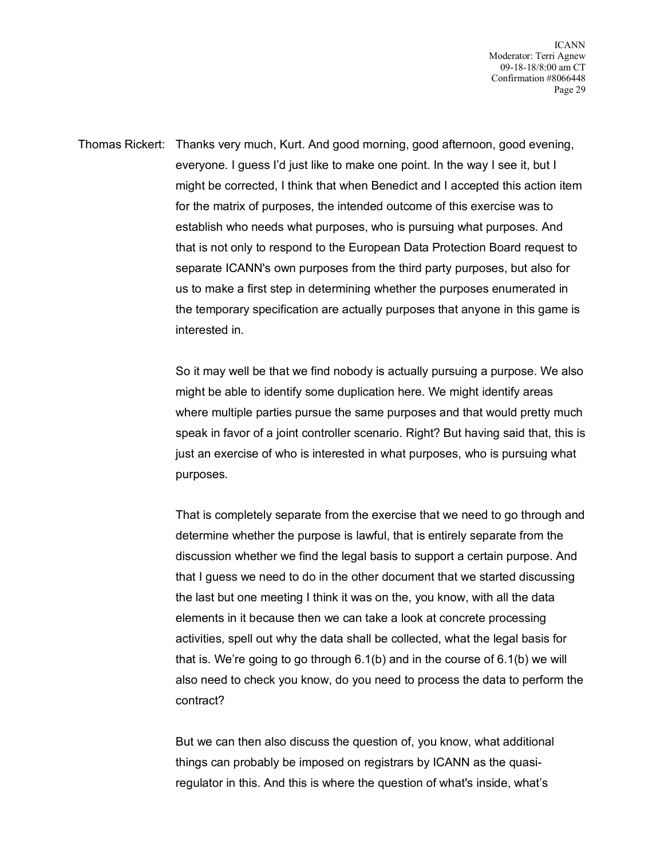ICANN Moderator: Terri Agnew 09-18-18/8:00 am CT Confirmation #8066448 Page 29

Thomas Rickert: Thanks very much, Kurt. And good morning, good afternoon, good evening, everyone. I guess I'd just like to make one point. In the way I see it, but I might be corrected, I think that when Benedict and I accepted this action item for the matrix of purposes, the intended outcome of this exercise was to establish who needs what purposes, who is pursuing what purposes. And that is not only to respond to the European Data Protection Board request to separate ICANN's own purposes from the third party purposes, but also for us to make a first step in determining whether the purposes enumerated in the temporary specification are actually purposes that anyone in this game is interested in.

> So it may well be that we find nobody is actually pursuing a purpose. We also might be able to identify some duplication here. We might identify areas where multiple parties pursue the same purposes and that would pretty much speak in favor of a joint controller scenario. Right? But having said that, this is just an exercise of who is interested in what purposes, who is pursuing what purposes.

> That is completely separate from the exercise that we need to go through and determine whether the purpose is lawful, that is entirely separate from the discussion whether we find the legal basis to support a certain purpose. And that I guess we need to do in the other document that we started discussing the last but one meeting I think it was on the, you know, with all the data elements in it because then we can take a look at concrete processing activities, spell out why the data shall be collected, what the legal basis for that is. We're going to go through 6.1(b) and in the course of 6.1(b) we will also need to check you know, do you need to process the data to perform the contract?

But we can then also discuss the question of, you know, what additional things can probably be imposed on registrars by ICANN as the quasiregulator in this. And this is where the question of what's inside, what's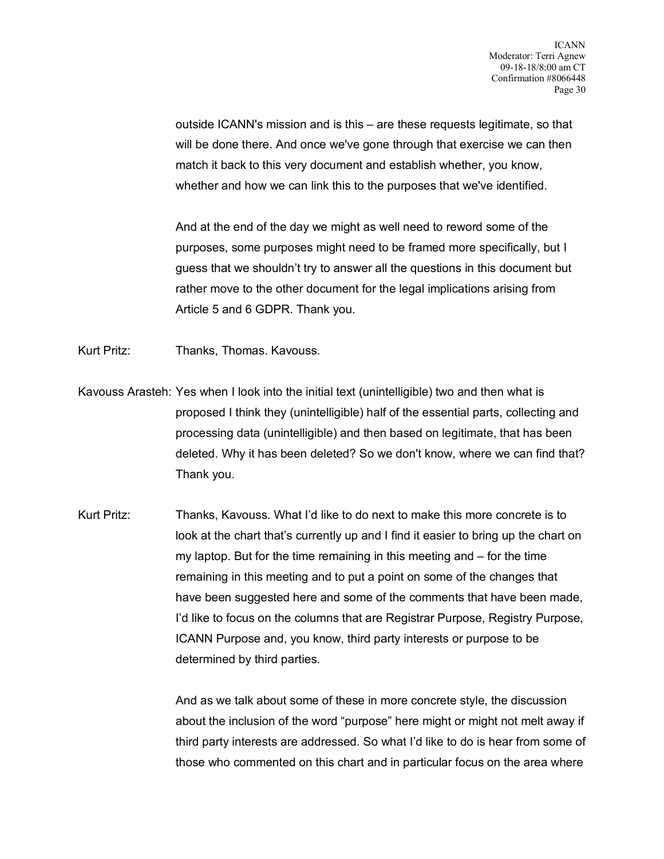outside ICANN's mission and is this – are these requests legitimate, so that will be done there. And once we've gone through that exercise we can then match it back to this very document and establish whether, you know, whether and how we can link this to the purposes that we've identified.

And at the end of the day we might as well need to reword some of the purposes, some purposes might need to be framed more specifically, but I guess that we shouldn't try to answer all the questions in this document but rather move to the other document for the legal implications arising from Article 5 and 6 GDPR. Thank you.

Kurt Pritz: Thanks, Thomas. Kavouss.

- Kavouss Arasteh: Yes when I look into the initial text (unintelligible) two and then what is proposed I think they (unintelligible) half of the essential parts, collecting and processing data (unintelligible) and then based on legitimate, that has been deleted. Why it has been deleted? So we don't know, where we can find that? Thank you.
- Kurt Pritz: Thanks, Kavouss. What I'd like to do next to make this more concrete is to look at the chart that's currently up and I find it easier to bring up the chart on my laptop. But for the time remaining in this meeting and – for the time remaining in this meeting and to put a point on some of the changes that have been suggested here and some of the comments that have been made, I'd like to focus on the columns that are Registrar Purpose, Registry Purpose, ICANN Purpose and, you know, third party interests or purpose to be determined by third parties.

And as we talk about some of these in more concrete style, the discussion about the inclusion of the word "purpose" here might or might not melt away if third party interests are addressed. So what I'd like to do is hear from some of those who commented on this chart and in particular focus on the area where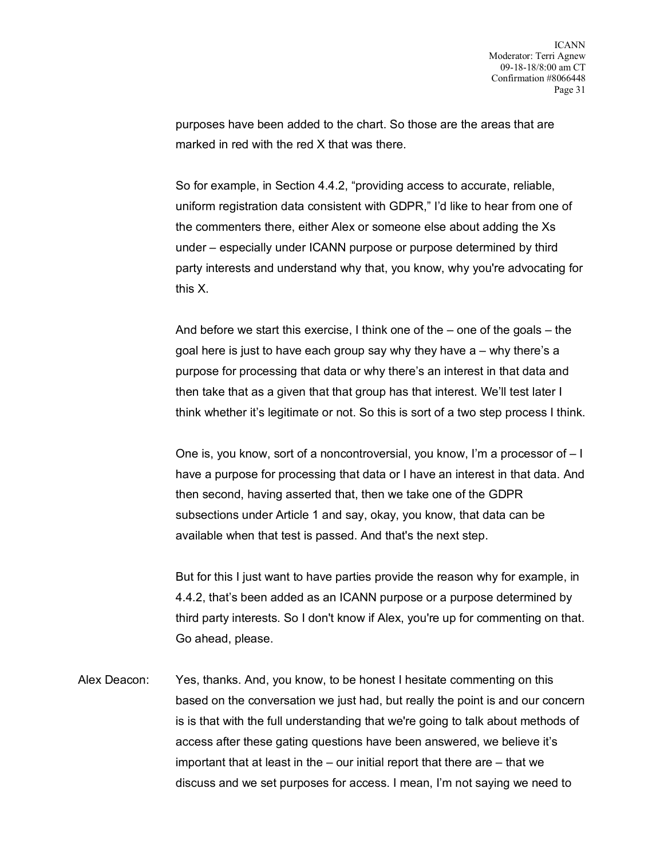purposes have been added to the chart. So those are the areas that are marked in red with the red X that was there.

So for example, in Section 4.4.2, "providing access to accurate, reliable, uniform registration data consistent with GDPR," I'd like to hear from one of the commenters there, either Alex or someone else about adding the Xs under – especially under ICANN purpose or purpose determined by third party interests and understand why that, you know, why you're advocating for this X.

And before we start this exercise, I think one of the – one of the goals – the goal here is just to have each group say why they have a – why there's a purpose for processing that data or why there's an interest in that data and then take that as a given that that group has that interest. We'll test later I think whether it's legitimate or not. So this is sort of a two step process I think.

One is, you know, sort of a noncontroversial, you know, I'm a processor of – I have a purpose for processing that data or I have an interest in that data. And then second, having asserted that, then we take one of the GDPR subsections under Article 1 and say, okay, you know, that data can be available when that test is passed. And that's the next step.

But for this I just want to have parties provide the reason why for example, in 4.4.2, that's been added as an ICANN purpose or a purpose determined by third party interests. So I don't know if Alex, you're up for commenting on that. Go ahead, please.

Alex Deacon: Yes, thanks. And, you know, to be honest I hesitate commenting on this based on the conversation we just had, but really the point is and our concern is is that with the full understanding that we're going to talk about methods of access after these gating questions have been answered, we believe it's important that at least in the – our initial report that there are – that we discuss and we set purposes for access. I mean, I'm not saying we need to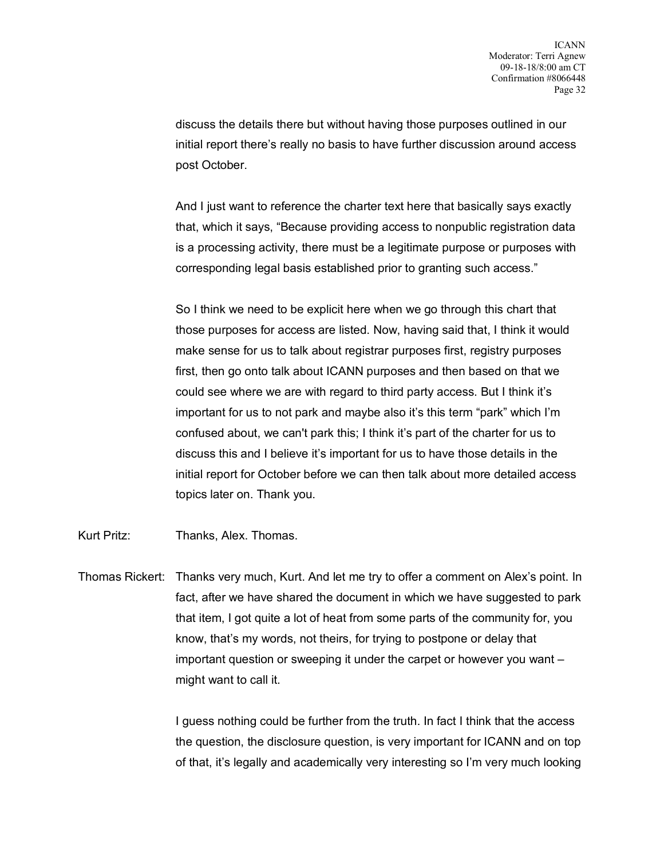discuss the details there but without having those purposes outlined in our initial report there's really no basis to have further discussion around access post October.

And I just want to reference the charter text here that basically says exactly that, which it says, "Because providing access to nonpublic registration data is a processing activity, there must be a legitimate purpose or purposes with corresponding legal basis established prior to granting such access."

So I think we need to be explicit here when we go through this chart that those purposes for access are listed. Now, having said that, I think it would make sense for us to talk about registrar purposes first, registry purposes first, then go onto talk about ICANN purposes and then based on that we could see where we are with regard to third party access. But I think it's important for us to not park and maybe also it's this term "park" which I'm confused about, we can't park this; I think it's part of the charter for us to discuss this and I believe it's important for us to have those details in the initial report for October before we can then talk about more detailed access topics later on. Thank you.

Kurt Pritz: Thanks, Alex. Thomas.

Thomas Rickert: Thanks very much, Kurt. And let me try to offer a comment on Alex's point. In fact, after we have shared the document in which we have suggested to park that item, I got quite a lot of heat from some parts of the community for, you know, that's my words, not theirs, for trying to postpone or delay that important question or sweeping it under the carpet or however you want – might want to call it.

> I guess nothing could be further from the truth. In fact I think that the access the question, the disclosure question, is very important for ICANN and on top of that, it's legally and academically very interesting so I'm very much looking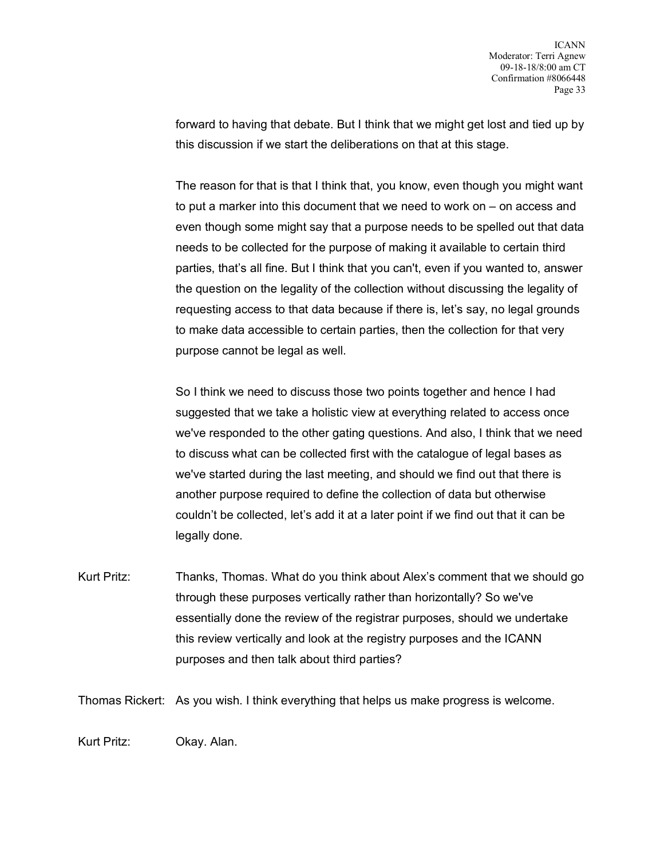forward to having that debate. But I think that we might get lost and tied up by this discussion if we start the deliberations on that at this stage.

The reason for that is that I think that, you know, even though you might want to put a marker into this document that we need to work on – on access and even though some might say that a purpose needs to be spelled out that data needs to be collected for the purpose of making it available to certain third parties, that's all fine. But I think that you can't, even if you wanted to, answer the question on the legality of the collection without discussing the legality of requesting access to that data because if there is, let's say, no legal grounds to make data accessible to certain parties, then the collection for that very purpose cannot be legal as well.

So I think we need to discuss those two points together and hence I had suggested that we take a holistic view at everything related to access once we've responded to the other gating questions. And also, I think that we need to discuss what can be collected first with the catalogue of legal bases as we've started during the last meeting, and should we find out that there is another purpose required to define the collection of data but otherwise couldn't be collected, let's add it at a later point if we find out that it can be legally done.

Kurt Pritz: Thanks, Thomas. What do you think about Alex's comment that we should go through these purposes vertically rather than horizontally? So we've essentially done the review of the registrar purposes, should we undertake this review vertically and look at the registry purposes and the ICANN purposes and then talk about third parties?

Thomas Rickert: As you wish. I think everything that helps us make progress is welcome.

Kurt Pritz: Okay. Alan.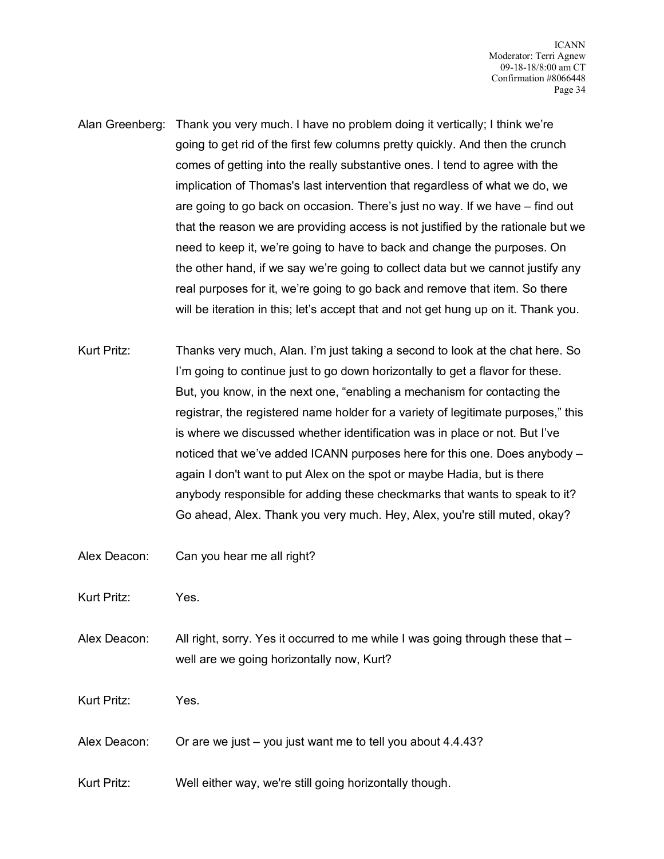- Alan Greenberg: Thank you very much. I have no problem doing it vertically; I think we're going to get rid of the first few columns pretty quickly. And then the crunch comes of getting into the really substantive ones. I tend to agree with the implication of Thomas's last intervention that regardless of what we do, we are going to go back on occasion. There's just no way. If we have – find out that the reason we are providing access is not justified by the rationale but we need to keep it, we're going to have to back and change the purposes. On the other hand, if we say we're going to collect data but we cannot justify any real purposes for it, we're going to go back and remove that item. So there will be iteration in this; let's accept that and not get hung up on it. Thank you.
- Kurt Pritz: Thanks very much, Alan. I'm just taking a second to look at the chat here. So I'm going to continue just to go down horizontally to get a flavor for these. But, you know, in the next one, "enabling a mechanism for contacting the registrar, the registered name holder for a variety of legitimate purposes," this is where we discussed whether identification was in place or not. But I've noticed that we've added ICANN purposes here for this one. Does anybody – again I don't want to put Alex on the spot or maybe Hadia, but is there anybody responsible for adding these checkmarks that wants to speak to it? Go ahead, Alex. Thank you very much. Hey, Alex, you're still muted, okay?
- Alex Deacon: Can you hear me all right?

Kurt Pritz: Yes.

Alex Deacon: All right, sorry. Yes it occurred to me while I was going through these that well are we going horizontally now, Kurt?

Kurt Pritz: Yes.

- Alex Deacon: Or are we just you just want me to tell you about 4.4.43?
- Kurt Pritz: Well either way, we're still going horizontally though.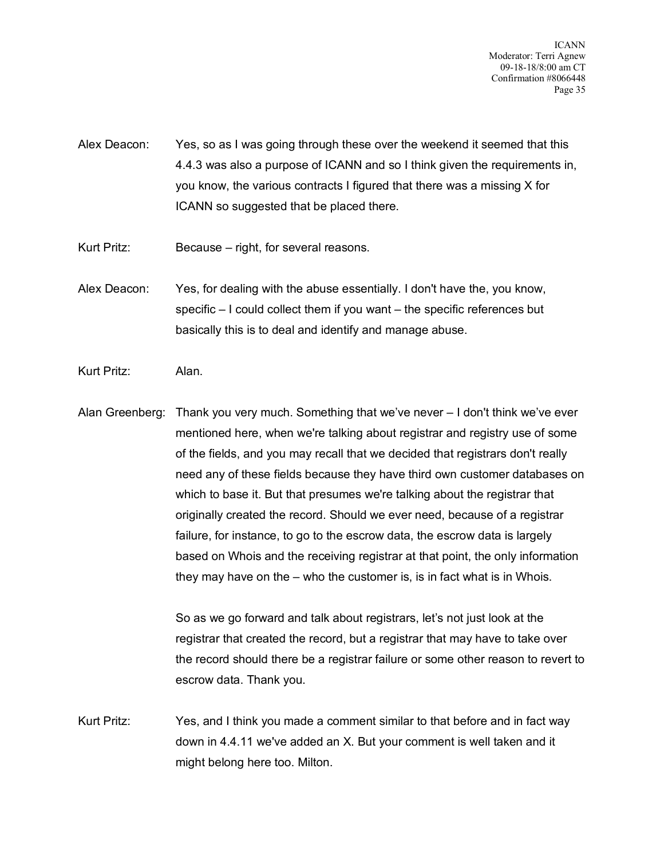ICANN Moderator: Terri Agnew 09-18-18/8:00 am CT Confirmation #8066448 Page 35

- Alex Deacon: Yes, so as I was going through these over the weekend it seemed that this 4.4.3 was also a purpose of ICANN and so I think given the requirements in, you know, the various contracts I figured that there was a missing X for ICANN so suggested that be placed there.
- Kurt Pritz: Because right, for several reasons.
- Alex Deacon: Yes, for dealing with the abuse essentially. I don't have the, you know, specific – I could collect them if you want – the specific references but basically this is to deal and identify and manage abuse.
- Kurt Pritz: Alan.

Alan Greenberg: Thank you very much. Something that we've never – I don't think we've ever mentioned here, when we're talking about registrar and registry use of some of the fields, and you may recall that we decided that registrars don't really need any of these fields because they have third own customer databases on which to base it. But that presumes we're talking about the registrar that originally created the record. Should we ever need, because of a registrar failure, for instance, to go to the escrow data, the escrow data is largely based on Whois and the receiving registrar at that point, the only information they may have on the – who the customer is, is in fact what is in Whois.

> So as we go forward and talk about registrars, let's not just look at the registrar that created the record, but a registrar that may have to take over the record should there be a registrar failure or some other reason to revert to escrow data. Thank you.

Kurt Pritz: Yes, and I think you made a comment similar to that before and in fact way down in 4.4.11 we've added an X. But your comment is well taken and it might belong here too. Milton.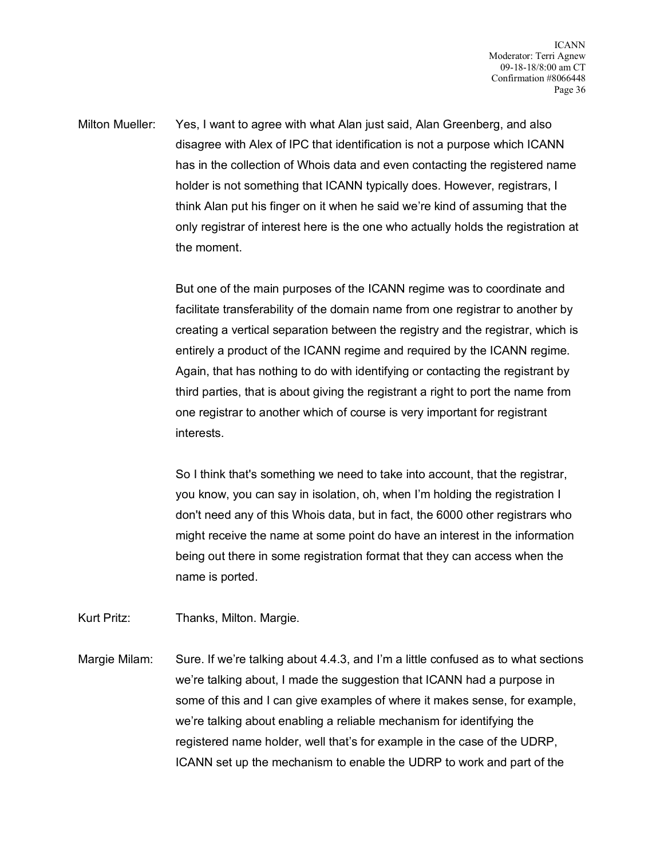Milton Mueller: Yes, I want to agree with what Alan just said, Alan Greenberg, and also disagree with Alex of IPC that identification is not a purpose which ICANN has in the collection of Whois data and even contacting the registered name holder is not something that ICANN typically does. However, registrars, I think Alan put his finger on it when he said we're kind of assuming that the only registrar of interest here is the one who actually holds the registration at the moment.

> But one of the main purposes of the ICANN regime was to coordinate and facilitate transferability of the domain name from one registrar to another by creating a vertical separation between the registry and the registrar, which is entirely a product of the ICANN regime and required by the ICANN regime. Again, that has nothing to do with identifying or contacting the registrant by third parties, that is about giving the registrant a right to port the name from one registrar to another which of course is very important for registrant interests.

So I think that's something we need to take into account, that the registrar, you know, you can say in isolation, oh, when I'm holding the registration I don't need any of this Whois data, but in fact, the 6000 other registrars who might receive the name at some point do have an interest in the information being out there in some registration format that they can access when the name is ported.

Kurt Pritz: Thanks, Milton. Margie.

Margie Milam: Sure. If we're talking about 4.4.3, and I'm a little confused as to what sections we're talking about, I made the suggestion that ICANN had a purpose in some of this and I can give examples of where it makes sense, for example, we're talking about enabling a reliable mechanism for identifying the registered name holder, well that's for example in the case of the UDRP, ICANN set up the mechanism to enable the UDRP to work and part of the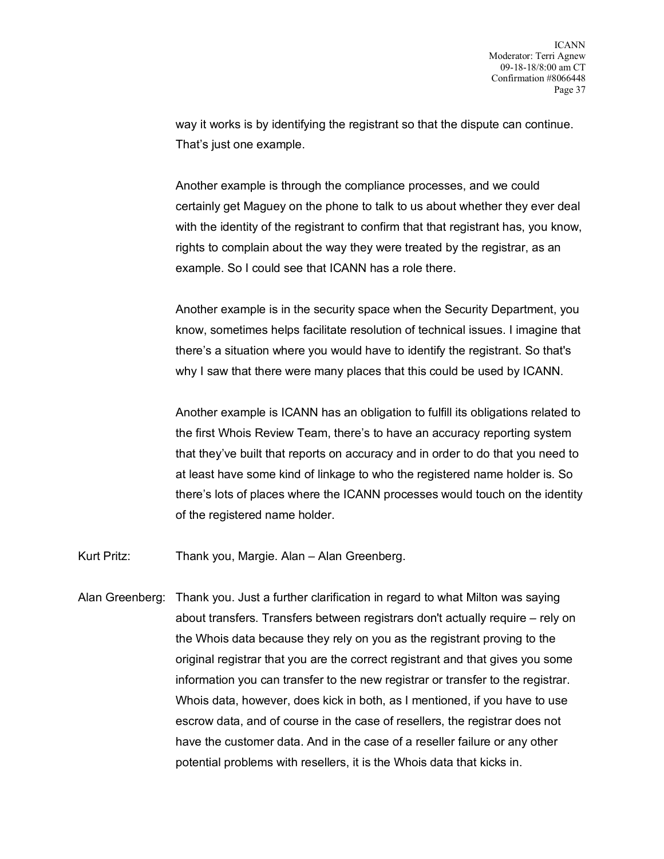way it works is by identifying the registrant so that the dispute can continue. That's just one example.

Another example is through the compliance processes, and we could certainly get Maguey on the phone to talk to us about whether they ever deal with the identity of the registrant to confirm that that registrant has, you know, rights to complain about the way they were treated by the registrar, as an example. So I could see that ICANN has a role there.

Another example is in the security space when the Security Department, you know, sometimes helps facilitate resolution of technical issues. I imagine that there's a situation where you would have to identify the registrant. So that's why I saw that there were many places that this could be used by ICANN.

Another example is ICANN has an obligation to fulfill its obligations related to the first Whois Review Team, there's to have an accuracy reporting system that they've built that reports on accuracy and in order to do that you need to at least have some kind of linkage to who the registered name holder is. So there's lots of places where the ICANN processes would touch on the identity of the registered name holder.

Kurt Pritz: Thank you, Margie. Alan – Alan Greenberg.

Alan Greenberg: Thank you. Just a further clarification in regard to what Milton was saying about transfers. Transfers between registrars don't actually require – rely on the Whois data because they rely on you as the registrant proving to the original registrar that you are the correct registrant and that gives you some information you can transfer to the new registrar or transfer to the registrar. Whois data, however, does kick in both, as I mentioned, if you have to use escrow data, and of course in the case of resellers, the registrar does not have the customer data. And in the case of a reseller failure or any other potential problems with resellers, it is the Whois data that kicks in.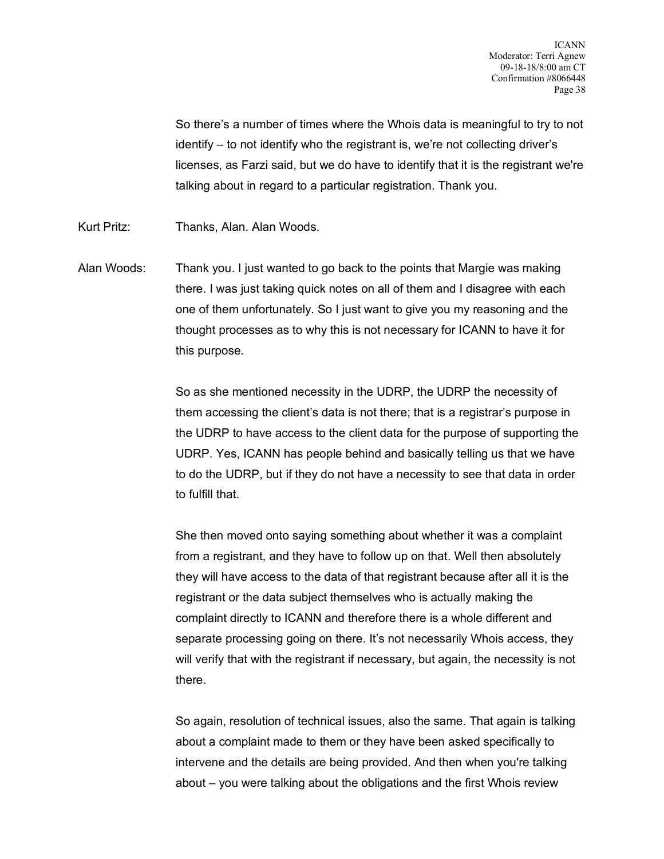So there's a number of times where the Whois data is meaningful to try to not identify – to not identify who the registrant is, we're not collecting driver's licenses, as Farzi said, but we do have to identify that it is the registrant we're talking about in regard to a particular registration. Thank you.

- Kurt Pritz: Thanks, Alan. Alan Woods.
- Alan Woods: Thank you. I just wanted to go back to the points that Margie was making there. I was just taking quick notes on all of them and I disagree with each one of them unfortunately. So I just want to give you my reasoning and the thought processes as to why this is not necessary for ICANN to have it for this purpose.

So as she mentioned necessity in the UDRP, the UDRP the necessity of them accessing the client's data is not there; that is a registrar's purpose in the UDRP to have access to the client data for the purpose of supporting the UDRP. Yes, ICANN has people behind and basically telling us that we have to do the UDRP, but if they do not have a necessity to see that data in order to fulfill that.

She then moved onto saying something about whether it was a complaint from a registrant, and they have to follow up on that. Well then absolutely they will have access to the data of that registrant because after all it is the registrant or the data subject themselves who is actually making the complaint directly to ICANN and therefore there is a whole different and separate processing going on there. It's not necessarily Whois access, they will verify that with the registrant if necessary, but again, the necessity is not there.

So again, resolution of technical issues, also the same. That again is talking about a complaint made to them or they have been asked specifically to intervene and the details are being provided. And then when you're talking about – you were talking about the obligations and the first Whois review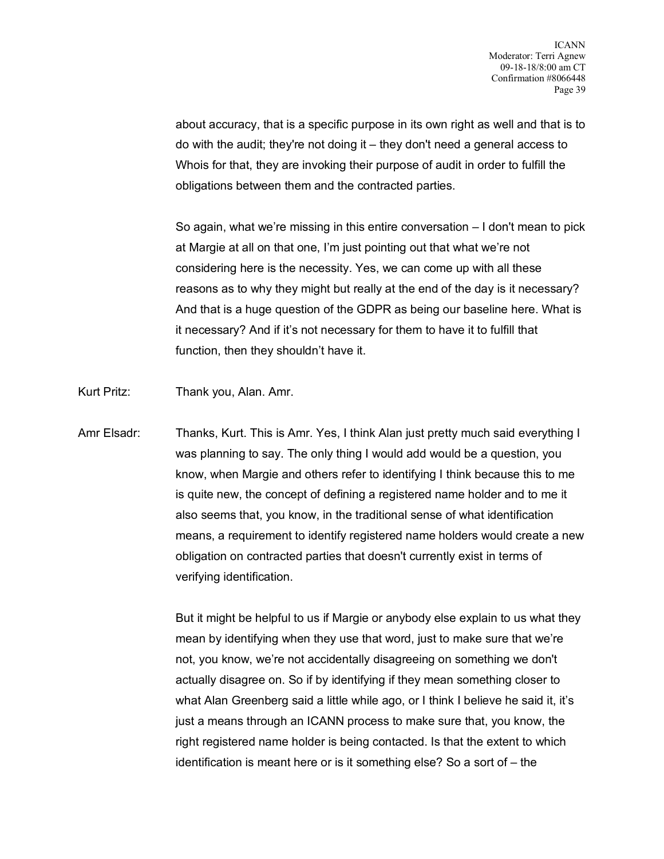about accuracy, that is a specific purpose in its own right as well and that is to do with the audit; they're not doing it – they don't need a general access to Whois for that, they are invoking their purpose of audit in order to fulfill the obligations between them and the contracted parties.

So again, what we're missing in this entire conversation – I don't mean to pick at Margie at all on that one, I'm just pointing out that what we're not considering here is the necessity. Yes, we can come up with all these reasons as to why they might but really at the end of the day is it necessary? And that is a huge question of the GDPR as being our baseline here. What is it necessary? And if it's not necessary for them to have it to fulfill that function, then they shouldn't have it.

- Kurt Pritz: Thank you, Alan. Amr.
- Amr Elsadr: Thanks, Kurt. This is Amr. Yes, I think Alan just pretty much said everything I was planning to say. The only thing I would add would be a question, you know, when Margie and others refer to identifying I think because this to me is quite new, the concept of defining a registered name holder and to me it also seems that, you know, in the traditional sense of what identification means, a requirement to identify registered name holders would create a new obligation on contracted parties that doesn't currently exist in terms of verifying identification.

But it might be helpful to us if Margie or anybody else explain to us what they mean by identifying when they use that word, just to make sure that we're not, you know, we're not accidentally disagreeing on something we don't actually disagree on. So if by identifying if they mean something closer to what Alan Greenberg said a little while ago, or I think I believe he said it, it's just a means through an ICANN process to make sure that, you know, the right registered name holder is being contacted. Is that the extent to which identification is meant here or is it something else? So a sort of – the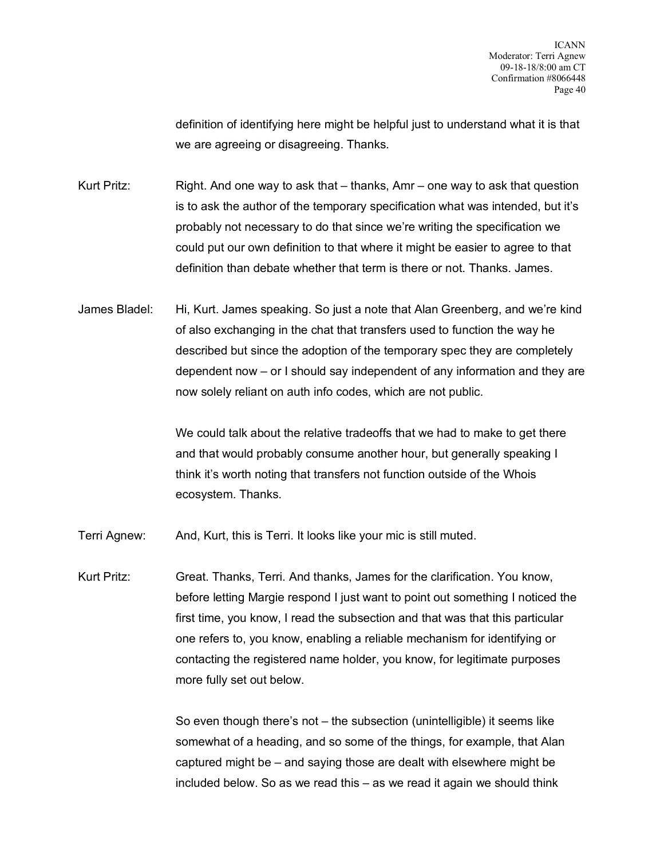definition of identifying here might be helpful just to understand what it is that we are agreeing or disagreeing. Thanks.

Kurt Pritz: Right. And one way to ask that – thanks, Amr – one way to ask that question is to ask the author of the temporary specification what was intended, but it's probably not necessary to do that since we're writing the specification we could put our own definition to that where it might be easier to agree to that definition than debate whether that term is there or not. Thanks. James.

James Bladel: Hi, Kurt. James speaking. So just a note that Alan Greenberg, and we're kind of also exchanging in the chat that transfers used to function the way he described but since the adoption of the temporary spec they are completely dependent now – or I should say independent of any information and they are now solely reliant on auth info codes, which are not public.

> We could talk about the relative tradeoffs that we had to make to get there and that would probably consume another hour, but generally speaking I think it's worth noting that transfers not function outside of the Whois ecosystem. Thanks.

Terri Agnew: And, Kurt, this is Terri. It looks like your mic is still muted.

Kurt Pritz: Great. Thanks, Terri. And thanks, James for the clarification. You know, before letting Margie respond I just want to point out something I noticed the first time, you know, I read the subsection and that was that this particular one refers to, you know, enabling a reliable mechanism for identifying or contacting the registered name holder, you know, for legitimate purposes more fully set out below.

> So even though there's not – the subsection (unintelligible) it seems like somewhat of a heading, and so some of the things, for example, that Alan captured might be – and saying those are dealt with elsewhere might be included below. So as we read this – as we read it again we should think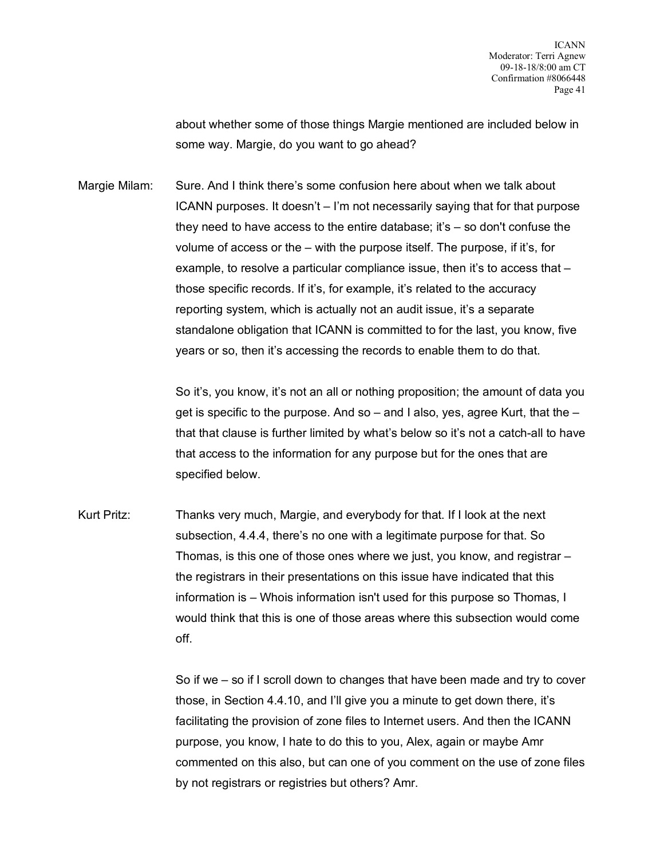about whether some of those things Margie mentioned are included below in some way. Margie, do you want to go ahead?

Margie Milam: Sure. And I think there's some confusion here about when we talk about ICANN purposes. It doesn't – I'm not necessarily saying that for that purpose they need to have access to the entire database; it's – so don't confuse the volume of access or the – with the purpose itself. The purpose, if it's, for example, to resolve a particular compliance issue, then it's to access that – those specific records. If it's, for example, it's related to the accuracy reporting system, which is actually not an audit issue, it's a separate standalone obligation that ICANN is committed to for the last, you know, five years or so, then it's accessing the records to enable them to do that.

> So it's, you know, it's not an all or nothing proposition; the amount of data you get is specific to the purpose. And so  $-$  and I also, yes, agree Kurt, that the  $$ that that clause is further limited by what's below so it's not a catch-all to have that access to the information for any purpose but for the ones that are specified below.

Kurt Pritz: Thanks very much, Margie, and everybody for that. If I look at the next subsection, 4.4.4, there's no one with a legitimate purpose for that. So Thomas, is this one of those ones where we just, you know, and registrar – the registrars in their presentations on this issue have indicated that this information is – Whois information isn't used for this purpose so Thomas, I would think that this is one of those areas where this subsection would come off.

> So if we – so if I scroll down to changes that have been made and try to cover those, in Section 4.4.10, and I'll give you a minute to get down there, it's facilitating the provision of zone files to Internet users. And then the ICANN purpose, you know, I hate to do this to you, Alex, again or maybe Amr commented on this also, but can one of you comment on the use of zone files by not registrars or registries but others? Amr.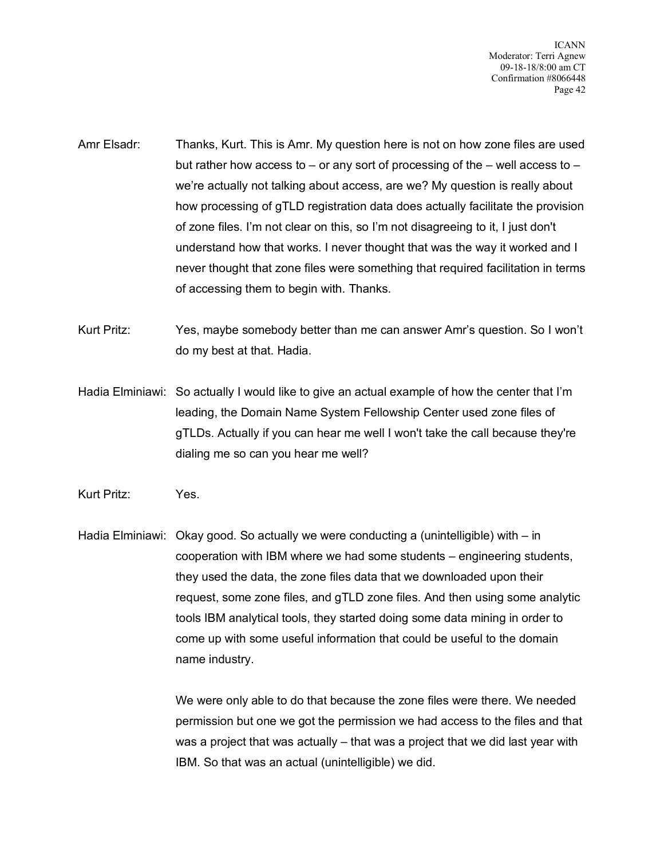ICANN Moderator: Terri Agnew 09-18-18/8:00 am CT Confirmation #8066448 Page 42

- Amr Elsadr: Thanks, Kurt. This is Amr. My question here is not on how zone files are used but rather how access to – or any sort of processing of the – well access to – we're actually not talking about access, are we? My question is really about how processing of gTLD registration data does actually facilitate the provision of zone files. I'm not clear on this, so I'm not disagreeing to it, I just don't understand how that works. I never thought that was the way it worked and I never thought that zone files were something that required facilitation in terms of accessing them to begin with. Thanks.
- Kurt Pritz: Yes, maybe somebody better than me can answer Amr's question. So I won't do my best at that. Hadia.
- Hadia Elminiawi: So actually I would like to give an actual example of how the center that I'm leading, the Domain Name System Fellowship Center used zone files of gTLDs. Actually if you can hear me well I won't take the call because they're dialing me so can you hear me well?
- Kurt Pritz: Yes.

Hadia Elminiawi: Okay good. So actually we were conducting a (unintelligible) with – in cooperation with IBM where we had some students – engineering students, they used the data, the zone files data that we downloaded upon their request, some zone files, and gTLD zone files. And then using some analytic tools IBM analytical tools, they started doing some data mining in order to come up with some useful information that could be useful to the domain name industry.

> We were only able to do that because the zone files were there. We needed permission but one we got the permission we had access to the files and that was a project that was actually – that was a project that we did last year with IBM. So that was an actual (unintelligible) we did.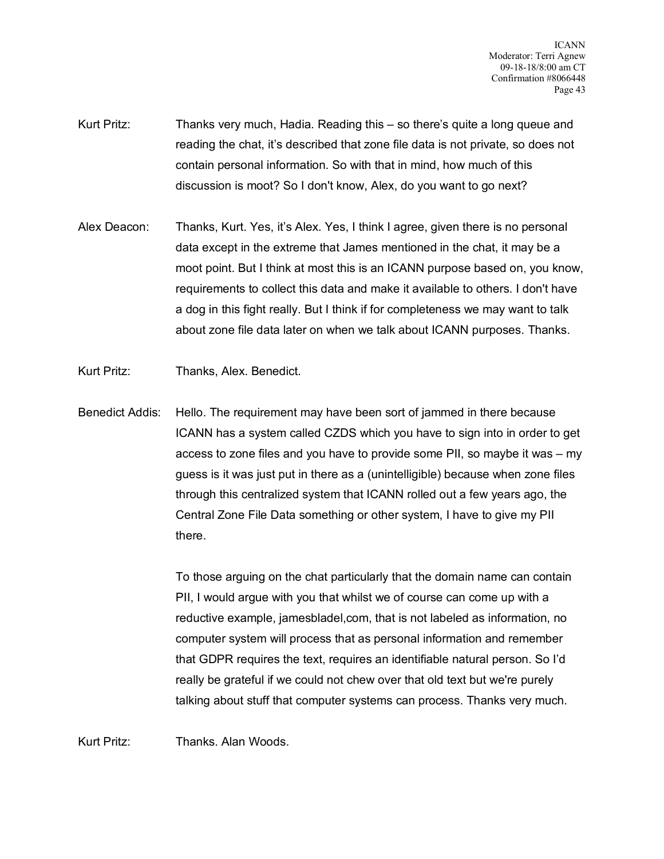- Kurt Pritz: Thanks very much, Hadia. Reading this so there's quite a long queue and reading the chat, it's described that zone file data is not private, so does not contain personal information. So with that in mind, how much of this discussion is moot? So I don't know, Alex, do you want to go next?
- Alex Deacon: Thanks, Kurt. Yes, it's Alex. Yes, I think I agree, given there is no personal data except in the extreme that James mentioned in the chat, it may be a moot point. But I think at most this is an ICANN purpose based on, you know, requirements to collect this data and make it available to others. I don't have a dog in this fight really. But I think if for completeness we may want to talk about zone file data later on when we talk about ICANN purposes. Thanks.
- Kurt Pritz: Thanks, Alex. Benedict.
- Benedict Addis: Hello. The requirement may have been sort of jammed in there because ICANN has a system called CZDS which you have to sign into in order to get access to zone files and you have to provide some PII, so maybe it was – my guess is it was just put in there as a (unintelligible) because when zone files through this centralized system that ICANN rolled out a few years ago, the Central Zone File Data something or other system, I have to give my PII there.

To those arguing on the chat particularly that the domain name can contain PII, I would argue with you that whilst we of course can come up with a reductive example, jamesbladel,com, that is not labeled as information, no computer system will process that as personal information and remember that GDPR requires the text, requires an identifiable natural person. So I'd really be grateful if we could not chew over that old text but we're purely talking about stuff that computer systems can process. Thanks very much.

Kurt Pritz: Thanks. Alan Woods.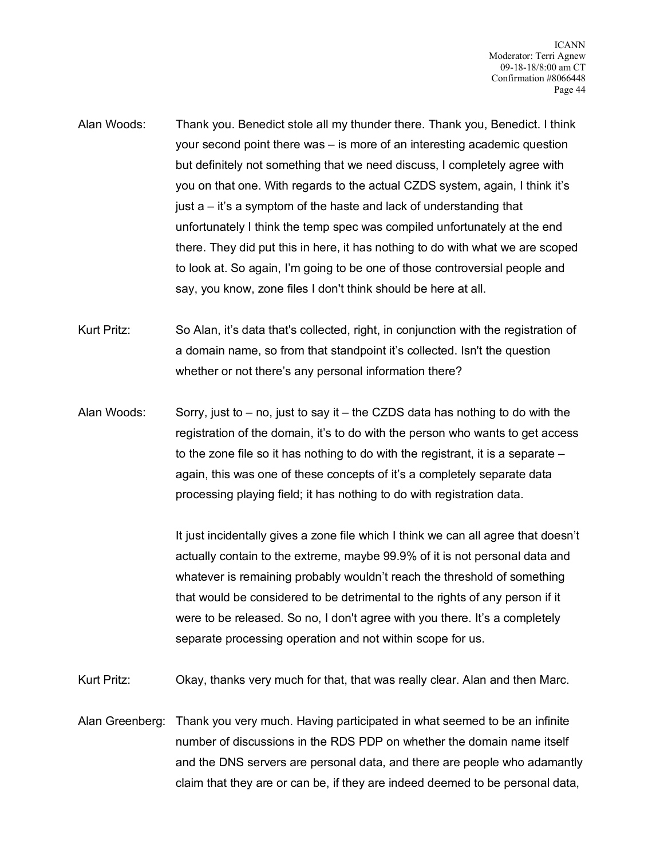- Alan Woods: Thank you. Benedict stole all my thunder there. Thank you, Benedict. I think your second point there was – is more of an interesting academic question but definitely not something that we need discuss, I completely agree with you on that one. With regards to the actual CZDS system, again, I think it's just a – it's a symptom of the haste and lack of understanding that unfortunately I think the temp spec was compiled unfortunately at the end there. They did put this in here, it has nothing to do with what we are scoped to look at. So again, I'm going to be one of those controversial people and say, you know, zone files I don't think should be here at all.
- Kurt Pritz: So Alan, it's data that's collected, right, in conjunction with the registration of a domain name, so from that standpoint it's collected. Isn't the question whether or not there's any personal information there?
- Alan Woods: Sorry, just to  $-$  no, just to say it  $-$  the CZDS data has nothing to do with the registration of the domain, it's to do with the person who wants to get access to the zone file so it has nothing to do with the registrant, it is a separate – again, this was one of these concepts of it's a completely separate data processing playing field; it has nothing to do with registration data.

It just incidentally gives a zone file which I think we can all agree that doesn't actually contain to the extreme, maybe 99.9% of it is not personal data and whatever is remaining probably wouldn't reach the threshold of something that would be considered to be detrimental to the rights of any person if it were to be released. So no, I don't agree with you there. It's a completely separate processing operation and not within scope for us.

Kurt Pritz: Okay, thanks very much for that, that was really clear. Alan and then Marc.

Alan Greenberg: Thank you very much. Having participated in what seemed to be an infinite number of discussions in the RDS PDP on whether the domain name itself and the DNS servers are personal data, and there are people who adamantly claim that they are or can be, if they are indeed deemed to be personal data,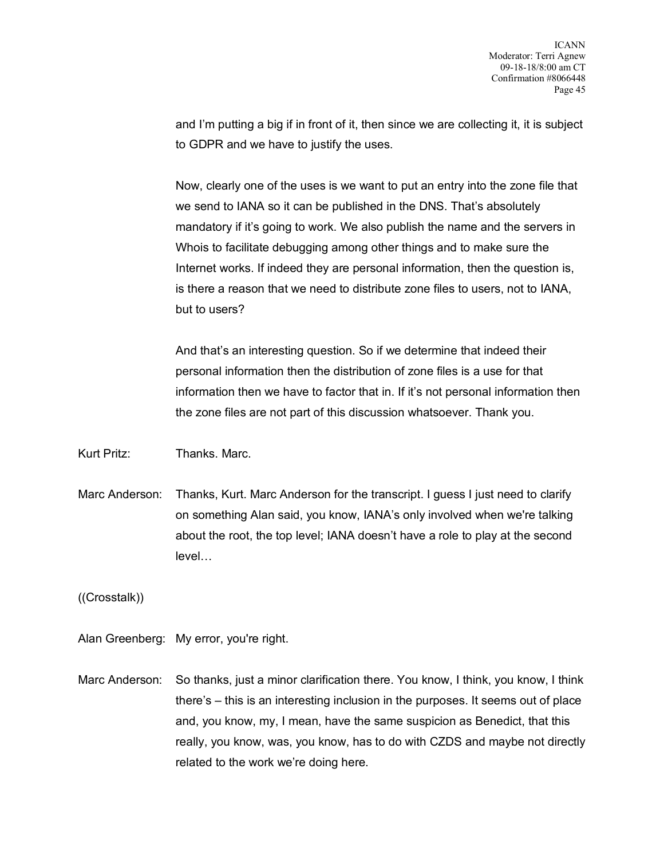and I'm putting a big if in front of it, then since we are collecting it, it is subject to GDPR and we have to justify the uses.

Now, clearly one of the uses is we want to put an entry into the zone file that we send to IANA so it can be published in the DNS. That's absolutely mandatory if it's going to work. We also publish the name and the servers in Whois to facilitate debugging among other things and to make sure the Internet works. If indeed they are personal information, then the question is, is there a reason that we need to distribute zone files to users, not to IANA, but to users?

And that's an interesting question. So if we determine that indeed their personal information then the distribution of zone files is a use for that information then we have to factor that in. If it's not personal information then the zone files are not part of this discussion whatsoever. Thank you.

Kurt Pritz: Thanks. Marc.

Marc Anderson: Thanks, Kurt. Marc Anderson for the transcript. I guess I just need to clarify on something Alan said, you know, IANA's only involved when we're talking about the root, the top level; IANA doesn't have a role to play at the second level…

((Crosstalk))

Alan Greenberg: My error, you're right.

Marc Anderson: So thanks, just a minor clarification there. You know, I think, you know, I think there's – this is an interesting inclusion in the purposes. It seems out of place and, you know, my, I mean, have the same suspicion as Benedict, that this really, you know, was, you know, has to do with CZDS and maybe not directly related to the work we're doing here.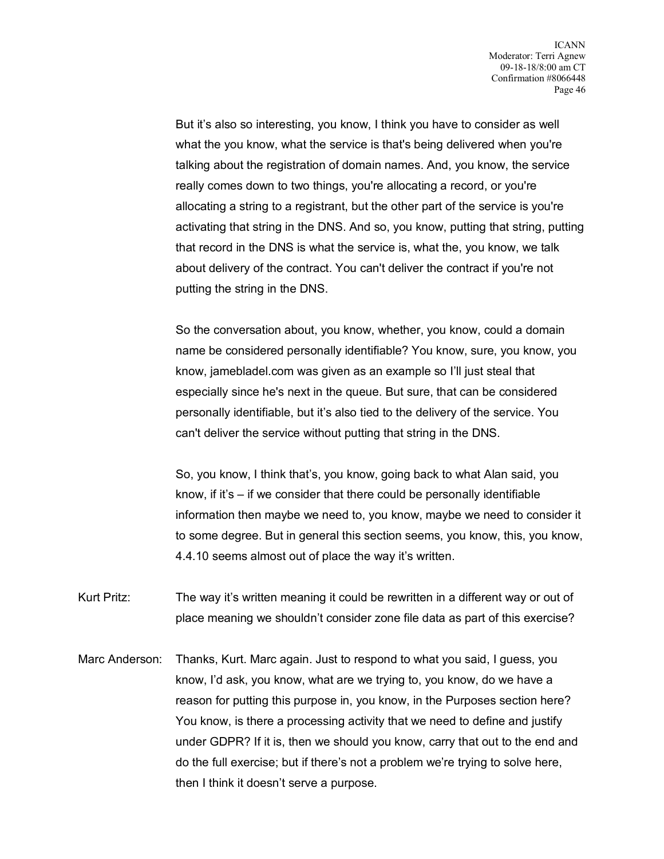But it's also so interesting, you know, I think you have to consider as well what the you know, what the service is that's being delivered when you're talking about the registration of domain names. And, you know, the service really comes down to two things, you're allocating a record, or you're allocating a string to a registrant, but the other part of the service is you're activating that string in the DNS. And so, you know, putting that string, putting that record in the DNS is what the service is, what the, you know, we talk about delivery of the contract. You can't deliver the contract if you're not putting the string in the DNS.

So the conversation about, you know, whether, you know, could a domain name be considered personally identifiable? You know, sure, you know, you know, jamebladel.com was given as an example so I'll just steal that especially since he's next in the queue. But sure, that can be considered personally identifiable, but it's also tied to the delivery of the service. You can't deliver the service without putting that string in the DNS.

So, you know, I think that's, you know, going back to what Alan said, you know, if it's – if we consider that there could be personally identifiable information then maybe we need to, you know, maybe we need to consider it to some degree. But in general this section seems, you know, this, you know, 4.4.10 seems almost out of place the way it's written.

Kurt Pritz: The way it's written meaning it could be rewritten in a different way or out of place meaning we shouldn't consider zone file data as part of this exercise?

Marc Anderson: Thanks, Kurt. Marc again. Just to respond to what you said, I guess, you know, I'd ask, you know, what are we trying to, you know, do we have a reason for putting this purpose in, you know, in the Purposes section here? You know, is there a processing activity that we need to define and justify under GDPR? If it is, then we should you know, carry that out to the end and do the full exercise; but if there's not a problem we're trying to solve here, then I think it doesn't serve a purpose.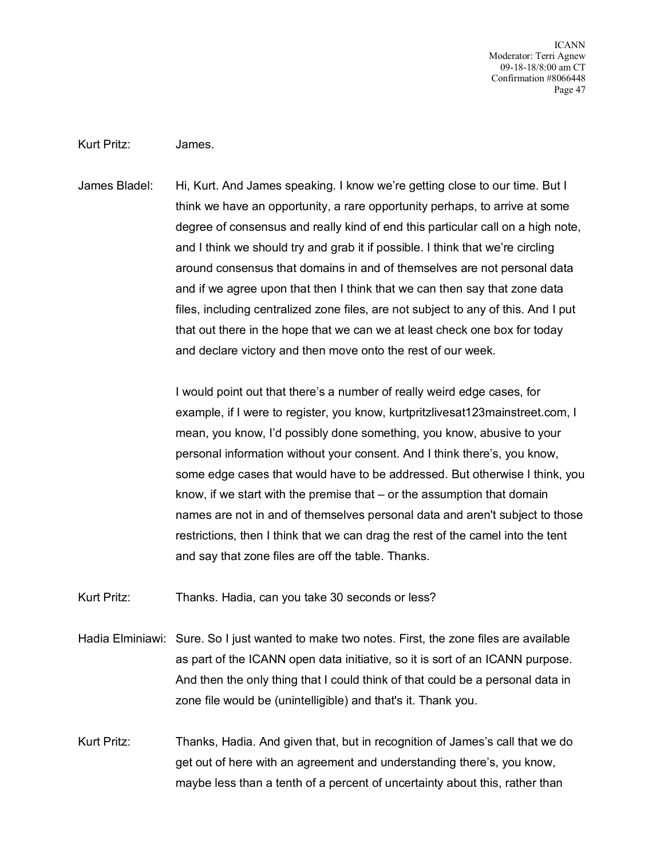ICANN Moderator: Terri Agnew 09-18-18/8:00 am CT Confirmation #8066448 Page 47

## Kurt Pritz: James.

James Bladel: Hi, Kurt. And James speaking. I know we're getting close to our time. But I think we have an opportunity, a rare opportunity perhaps, to arrive at some degree of consensus and really kind of end this particular call on a high note, and I think we should try and grab it if possible. I think that we're circling around consensus that domains in and of themselves are not personal data and if we agree upon that then I think that we can then say that zone data files, including centralized zone files, are not subject to any of this. And I put that out there in the hope that we can we at least check one box for today and declare victory and then move onto the rest of our week.

> I would point out that there's a number of really weird edge cases, for example, if I were to register, you know, kurtpritzlivesat123mainstreet.com, I mean, you know, I'd possibly done something, you know, abusive to your personal information without your consent. And I think there's, you know, some edge cases that would have to be addressed. But otherwise I think, you know, if we start with the premise that – or the assumption that domain names are not in and of themselves personal data and aren't subject to those restrictions, then I think that we can drag the rest of the camel into the tent and say that zone files are off the table. Thanks.

Kurt Pritz: Thanks. Hadia, can you take 30 seconds or less?

Hadia Elminiawi: Sure. So I just wanted to make two notes. First, the zone files are available as part of the ICANN open data initiative, so it is sort of an ICANN purpose. And then the only thing that I could think of that could be a personal data in zone file would be (unintelligible) and that's it. Thank you.

Kurt Pritz: Thanks, Hadia. And given that, but in recognition of James's call that we do get out of here with an agreement and understanding there's, you know, maybe less than a tenth of a percent of uncertainty about this, rather than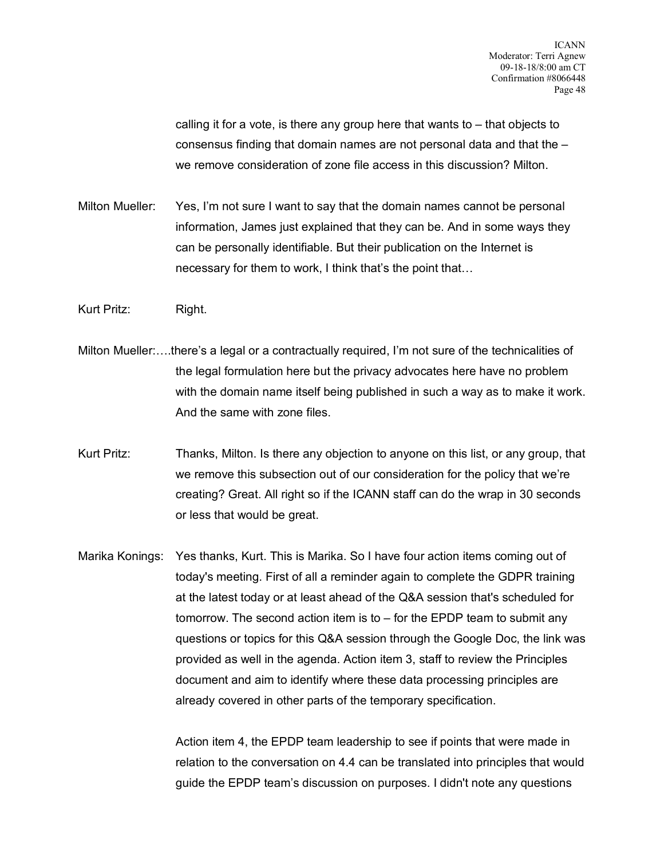calling it for a vote, is there any group here that wants to – that objects to consensus finding that domain names are not personal data and that the – we remove consideration of zone file access in this discussion? Milton.

Milton Mueller: Yes, I'm not sure I want to say that the domain names cannot be personal information, James just explained that they can be. And in some ways they can be personally identifiable. But their publication on the Internet is necessary for them to work, I think that's the point that…

Kurt Pritz: Right.

- Milton Mueller:….there's a legal or a contractually required, I'm not sure of the technicalities of the legal formulation here but the privacy advocates here have no problem with the domain name itself being published in such a way as to make it work. And the same with zone files.
- Kurt Pritz: Thanks, Milton. Is there any objection to anyone on this list, or any group, that we remove this subsection out of our consideration for the policy that we're creating? Great. All right so if the ICANN staff can do the wrap in 30 seconds or less that would be great.
- Marika Konings: Yes thanks, Kurt. This is Marika. So I have four action items coming out of today's meeting. First of all a reminder again to complete the GDPR training at the latest today or at least ahead of the Q&A session that's scheduled for tomorrow. The second action item is to – for the EPDP team to submit any questions or topics for this Q&A session through the Google Doc, the link was provided as well in the agenda. Action item 3, staff to review the Principles document and aim to identify where these data processing principles are already covered in other parts of the temporary specification.

Action item 4, the EPDP team leadership to see if points that were made in relation to the conversation on 4.4 can be translated into principles that would guide the EPDP team's discussion on purposes. I didn't note any questions